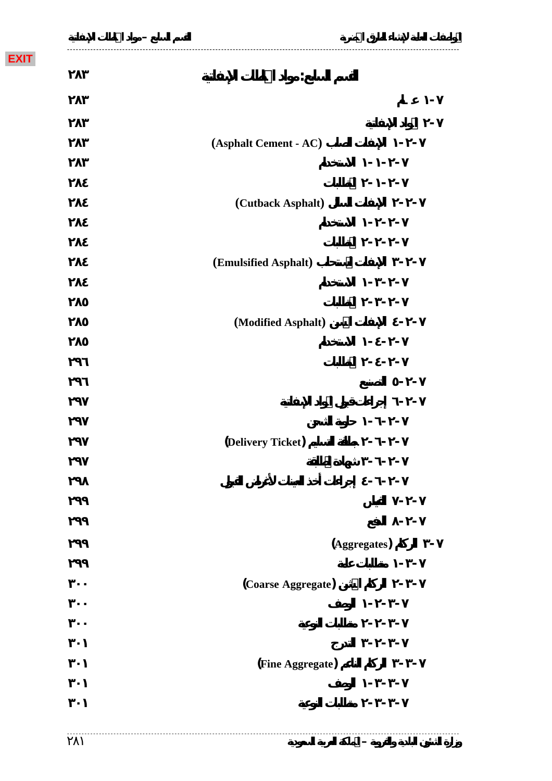**EXIT**

| (Asphalt Cement - AC) |              |
|-----------------------|--------------|
|                       |              |
|                       |              |
| (Cutback Asphalt)     |              |
|                       |              |
|                       |              |
| (Emulsified Asphalt)  |              |
|                       |              |
|                       |              |
| (Modified Asphalt)    |              |
|                       |              |
|                       |              |
|                       |              |
|                       |              |
|                       |              |
| (Delivery Ticket)     |              |
|                       |              |
|                       |              |
|                       |              |
|                       |              |
|                       | (Aggregates) |
|                       |              |
| (Coarse Aggregate)    |              |
|                       |              |
|                       |              |
|                       |              |
| (Fine Aggregate)      |              |
|                       |              |
|                       |              |
|                       |              |

**وزارة الشئون البلدية والقروية – المملكة العربية السعودية** 

**ـــــــــــــــــــــــــــــــــــــــــــــــــــــــــــــــــــــــــــــــــــــــــــــــــــــــــــــــــــــــــــــــــــــــ المواصفات العامة لإنشاء الطرق الحضرية القسم السابع – مواد الخلطات الإسفلتية**

**- عـام**

**القسم السابع: مواد الخلطات الإسفلتية**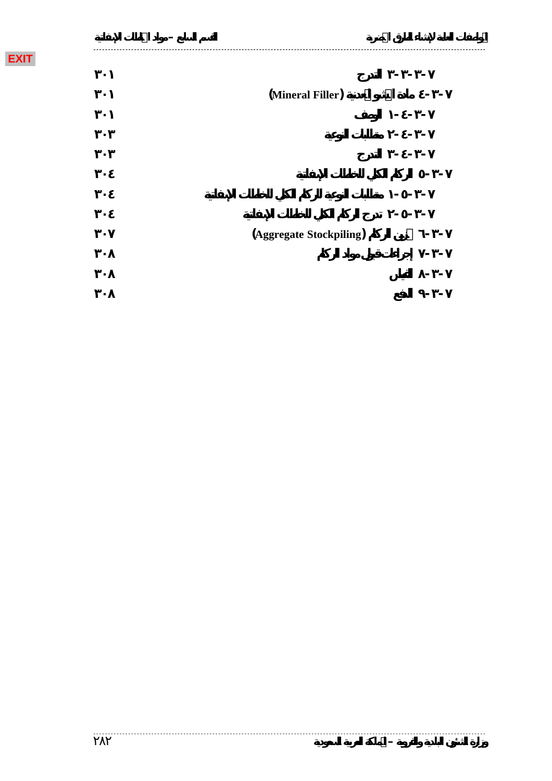| (Mineral Filler)        |  |
|-------------------------|--|
|                         |  |
|                         |  |
|                         |  |
|                         |  |
|                         |  |
|                         |  |
| (Aggregate Stockpiling) |  |
|                         |  |
|                         |  |
|                         |  |

**ـــــــــــــــــــــــــــــــــــــــــــــــــــــــــــــــــــــــــــــــــــــــــــــــــــــــــــــــــــــــــــــــــــــــ المواصفات العامة لإنشاء الطرق الحضرية القسم السابع – مواد الخلطات الإسفلتية**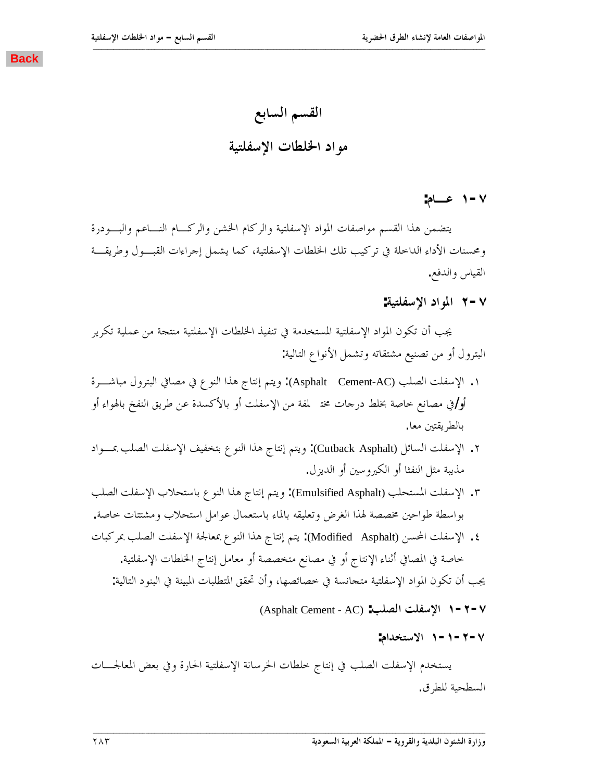القسم السابع مو اد الخلطات الإسفلتية

**:ǵƢºǟ Î-Ô**

<span id="page-2-0"></span>يتضمن هذا القسم مواصفات المواد الإسفلتية والركام الخشن والركسام النساعم والبسودرة ومحسنات الأداء الداخلة في تركيب تلك الخلطات الإسفلتية، كما يشمل إجراءات القبــول وطريقـــة القياس والدفع.

**:ƨȈƬǴǨLJȍơƽơȂŭơ Ï-Ô**

يجب أن تكون المواد الإسفلتية المستخدمة في تنفيذ الخلطات الإسفلتية منتجة من عملية تكرير البترول أو من تصنيع مشتقاته وتشمل الأنواع التالية:

- ٠. الإسفلت الصلب (Asphalt Cement-AC): ويتم إنتاج هذا النوع في مصافي البترول مباشـــرة أو ⁄في مصانع خاصة بخلط درجات مختملفة من الإسفلت أو بالأكسدة عن طريق النفخ بالهواء أو بالطريقتين معا.
- ٢. الإسفلت السائل (Cutback Asphalt): ويتم إنتاج هذا النوع بتخفيف الإسفلت الصلب بمـــواد مذيبة مثل النفثا أو الكيروسين أو الديز ل.
- ٣. الإسفلت المستحلب (Emulsified Asphalt): ويتم إنتاج هذا النوع باستحلاب الإسفلت الصلب بواسطة طواحين مخصصة لهذا الغرض وتعليقه بالماء باستعمال عوامل استحلاب ومشتتات حاصة.
- ٤. الإسفلت المحسن (Modified Asphalt): يتم إنتاج هذا النوع بمعالجة الإسفلت الصلب بمركبات خاصة في المصافي أثناء الإنتاج أو في مصانع متخصصة أو معامل إنتاج الخلطات الإسفلتية.

يجب أن تكون المواد الإسفلتية متجانسة في خصائصها، وأن تحقق المتطلبات المبينة في البنود التالية:

- (Asphalt Cement AC) **:ƤǴǐdzơ ƪǴǨLJȍơ Î-Ï-Ô**
	- **:ǵơƾƼƬLJȏơ Î-Î-Ï-Ô**

يستخدم الإسفلت الصلب في إنتاج خلطات الخرسانة الإسفلتية الحارة وفي بعض المعالجـــات السطحية للطرق.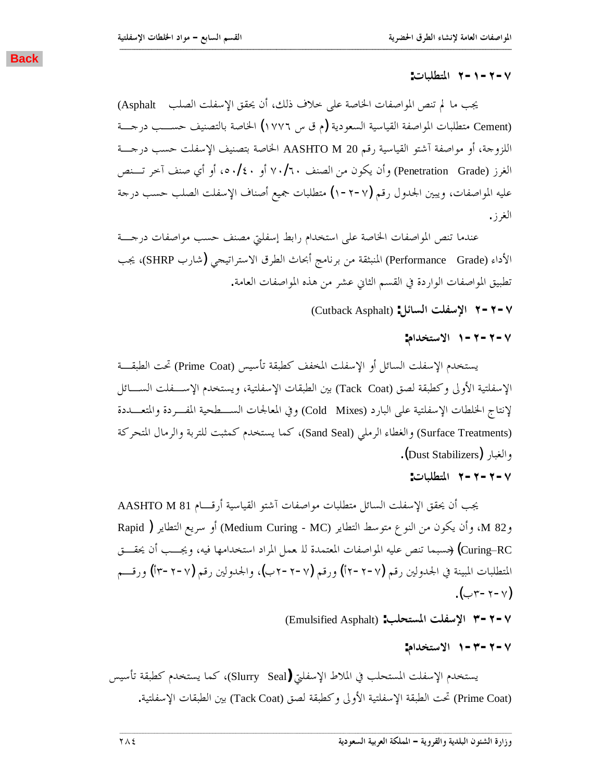#### **:ƩƢƦǴǘƬŭơ Ï-Î-Ï-Ô**

يجب ما لم تنص المواصفات الخاصة على حلاف ذلك، أن يحقق الإسفلت الصلب Asphalt) Cement) متطلبات المواصفة القياسية السعودية (م ق س ١٧٧٦) الخاصة بالتصنيف حســـب درجـــة اللزوجة، أو مواصفة آشتو القياسية رقم AASHTO M 20 الخاصة بتصنيف الإسفلت حسب درجـــة الغرز (Penetration Grade) وأن يكون من الصنف ٧٠/٦٠ أو ٤٠/٤٠، أو أي صنف آخر تسنص عليه المواصفات، ويبين الجدول رقم (٧-٢-١) متطلبات جميع أصناف الإسفلت الصلب حسب درجة الغرز.

<span id="page-3-0"></span>**ººººººººººººººººººººººººººººººººººººººººººººººººººººººººººººººººººººººººººººººººººººººººººººººººººººººººººººººººººººººººººººººººººººººº**

عندما تنص المواصفات الخاصة على استخدام رابط إسفلتي مصنف حسب مواصفات درجسة الأداء (Performance Grade) المنبثقة من برنامج أبحاث الطرق الاستراتيجي (شارب SHRP)، يجب تطبيق المواصفات الواردة في القسم الثاني عشر من هذه المواصفات العامة.

(Cutback Asphalt) **:DzƟƢLjdzơ ƪǴǨLJȍơ Ï-Ï-Ô**

**:ǵơƾƼƬLJȏơ Î-Ï-Ï-Ô**

يستخدم الإسفلت السائل أو الإسفلت المخفف كطبقة تأسيس (Prime Coat) تحت الطبقـــة الإسفلتية الأولى وكطبقة لصق (Tack Coat) بين الطبقات الإسفلتية، ويستخدم الإســـفلت الســــائل لإنتاج الخلطات الإسفلتية على البارد (Cold Mixes) وفي المعالجات الســــطحية المفـــردة والمتعـــددة (Surface Treatments) والغطاء الرملي (Sand Seal)، كما يستخدم كمثبت للتربة والرمال المتحركة والغبار (Dust Stabilizers).

**:ƩƢƦǴǘƬŭơ Ï-Ï-Ï-Ô**

AASHTO M 81 يجب أن يحقق الإسفلت السائل متطلبات مواصفات آشتو القياسية أرقـــام AASHTO M 81 وM 82، وأن يكون من النوع متوسط التطاير (Medium Curing - MC) أو سريع التطاير ( Rapid Curing\_RC) (حسبما تنص عليه المواصفات المعتمدة للـ معمل المراد استخدامها فيه، ويجــب أن يحقـــق المتطلبات المبينة في الجدولين رقم (٧-٢-٢أ) ورقم (٧-٢-٢-٧)، والجدولين رقم (٧-٢-٣أ) ورقـــم  $(\bigcup_{\mathsf{Y}-\mathsf{Y}-\mathsf{Y}}\mathsf{Y})$ 

(Emulsified Asphalt) **:ƤǴƸƬLjŭơ ƪǴǨLJȍơ Ð-Ï-Ô**

**:ǵơƾƼƬLJȏơ Î-Ð-Ï-Ô**

يستخدم الإسفلت المستحلب في الملاط الإسفلتي (Slurry Seal)، كما يستخدم كطبقة تأسيس (Prime Coat) تحت الطبقة الإسفلتية الأولى وكطبقة لصق (Tack Coat) بين الطبقات الإسفلتية.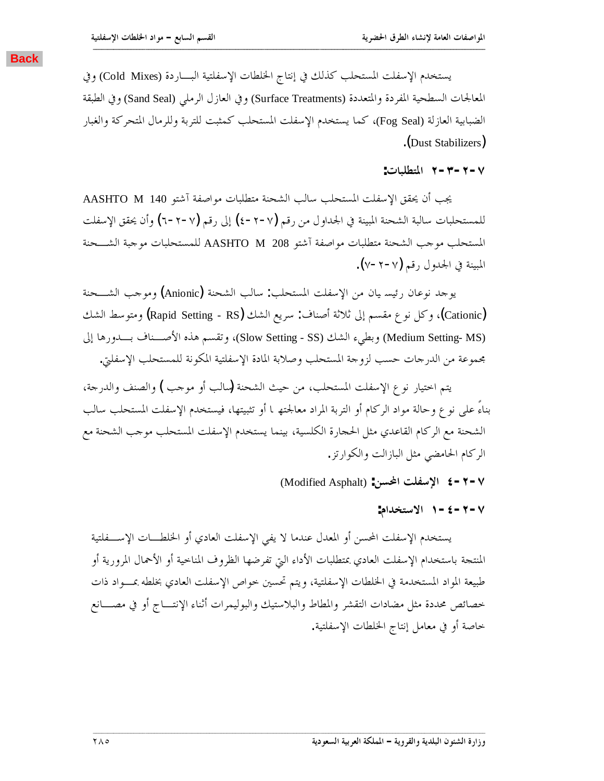<span id="page-4-0"></span>يستخدم الإسفلت المستحلب كذلك في إنتاج الخلطات الإسفلتية البـــاردة (Cold Mixes) وفي المعالجات السطحية المفردة والمتعددة (Surface Treatments) وفي العازل الرملي (Sand Seal) وفي الطبقة الضبابية العازلة (Fog Seal)، كما يستخدم الإسفلت المستحلب كمثبت للتربة وللرمال المتحركة والغبار .(Dust Stabilizers)

**ººººººººººººººººººººººººººººººººººººººººººººººººººººººººººººººººººººººººººººººººººººººººººººººººººººººººººººººººººººººººººººººººººººººº**

**:ƩƢƦǴǘƬŭơ Ï-Ð-Ï-Ô**

AASHTO M 140 جُب أن يحقق الإسفلت المستحلب سالب الشحنة متطلبات مواصفة آشتو 44 MASHTO للمستحلبات سالبة الشحنة المبينة في الجداول من رقم (√−۲− ٤) إلى رقم (√−۲− ٦) وأن يحقق الإسفلت المستحلب موحب الشحنة متطلبات مواصفة آشتو AASHTO M 208 للمستحلبات موحبة الشـــحنة المبينة في الجدول رقم (٧-٢-٧).

يوجد نوعان رئيسه يان من الإسفلت المستحلب: سالب الشحنة (Anionic) وموجب الشــــحنة Cationic)، وكل نوع مقسم إلى ثلاثة أصناف: سريع الشك (Rapid Setting - RS) ومتوسط الشك (Medium Setting- MS) وبطيء الشك (Slow Setting - SS)، وتقسم هذه الأصـــناف بــــدورها إلى بحموعة من الدرجات حسب لزوجة المستحلب وصلابة المادة الإسفلتية المكونة للمستحلب الإسفلتي.

يتم اختيار نوع الإسفلت المستحلب، من حيث الشحنة (سالب أو موحب ) والصنف والدرحة، بناءً على نوع وحالة مواد الركام أو التربة المراد معالجته L أو تثبيتها، فيستخدم الإسفلت المستحلب سالب الشحنة مع الركام القاعدي مثل الحجارة الكلسية، بينما يستخدم الإسفلت المستحلب موجب الشحنة مع الركام الحامضي مثل البازالت والكوارتز.

(Modified Asphalt) **:ǺLjƄơ ƪǴǨLJȍơ Ñ-Ï-Ô**

**:ǵơƾƼƬLJȏơ Î-Ñ-Ï-Ô**

يستخدم الإسفلت المحسن أو المعدل عندما لا يفي الإسفلت العادي أو الخلطـــات الإســـفلتية المنتجة باستخدام الإسفلت العادي بمتطلبات الأداء التي تفرضها الظروف المناحية أو الأحمال المرورية أو طبيعة المواد المستخدمة في الخلطات الإسفلتية، ويتم تحسين خواص الإسفلت العادي بخلطه بمـــواد ذات خصائص محددة مثل مضادات التقشر والمطاط والبلاستيك والبوليمرات أثناء الإنتـــاج أو في مصــــانع .<br>خاصة أو في معامل إنتاج الخلطات الإسفلتية.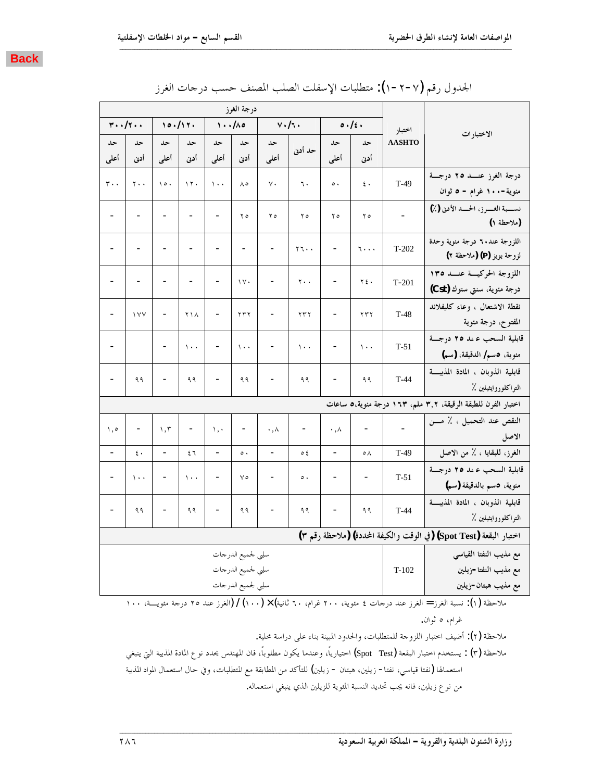| . . |  |
|-----|--|

|                          | $\mathbf{r} \cdot \cdot / \mathbf{r} \cdot \cdot$ |                              | 10.117.                      |                                | 1.110                    |                              | $v \cdot / \tau$ .    |                          | 0.1                      | اختبار                 |                                                                     |
|--------------------------|---------------------------------------------------|------------------------------|------------------------------|--------------------------------|--------------------------|------------------------------|-----------------------|--------------------------|--------------------------|------------------------|---------------------------------------------------------------------|
| حد                       | حد                                                | حد                           | حد                           | حد                             | حد                       | حد                           | حد أدنى               | حد                       | حد                       | <b>AASHTO</b>          | الاختبارات                                                          |
| أعلى                     | أدن                                               | أعلى                         | أدنى                         | أعلى                           | أدن                      | أعلمي                        |                       | أعلى                     | أدن                      |                        |                                                                     |
| $r \cdot \cdot$          | $\mathbf{y}$ .                                    | $\lambda \circ \cdot$        | $\gamma$ .                   | $\cdots$                       | $\Lambda$ 0              | $\vee$ .                     | ٦.                    | $\circ$ .                | ٤.                       | $T-49$                 | درجة الغرز عنسد ٢٥ درجسة                                            |
|                          |                                                   |                              |                              |                                |                          |                              |                       |                          |                          |                        | مئوية-١٠٠ غرام - ٥ ثوان                                             |
| $\overline{\phantom{0}}$ |                                                   | $\overline{\phantom{0}}$     | $\blacksquare$               |                                | ه ۲                      | ه ۲                          | ه ۲                   | ه ۲                      | ه ۲                      |                        | نسسبة الغسرز، الحسد الأدنى (٪)<br>(ملاحظة ١)                        |
| -                        | $\overline{\phantom{a}}$                          | $\overline{\phantom{0}}$     | $\qquad \qquad -$            |                                | $\qquad \qquad -$        | $\overline{\phantom{a}}$     | $Y \rightarrow \cdot$ | $\overline{\phantom{a}}$ | ۱۰۰۰                     | $T-202$                | اللزوجة عند.٢ درجة مئوية وحدة<br>لزوجة بويز (P) (ملاحظة ٢)          |
| -                        | $\qquad \qquad \blacksquare$                      | $\qquad \qquad \blacksquare$ | $\qquad \qquad \blacksquare$ | $\blacksquare$                 | $\vee$                   | $\overline{\phantom{0}}$     | $\mathbf{y}$ .        | $\overline{\phantom{0}}$ | ٢٤٠                      | $T-201$                | اللزوجة الحركيسة عنسد ١٣٥<br>درجة مئوية، سنتي ستوك (Cst)            |
| $\overline{\phantom{0}}$ | 1 V V                                             | $\qquad \qquad \blacksquare$ | ۲۱۸                          |                                | $\tau \tau \tau$         | $\overline{\phantom{a}}$     | $\tau\tau\tau$        | $\blacksquare$           | ۲۳۲                      | $T-48$                 | نقطة الاشتعال ، وعاء كليفلاند<br>المفتوح، درجة مئوية                |
| $\overline{\phantom{0}}$ |                                                   | $\overline{\phantom{0}}$     | $\cdots$                     |                                | $\lambda$ .              | $\overline{\phantom{0}}$     | $\lambda$ .           | $\overline{\phantom{0}}$ | $\langle \cdot \rangle$  | $T-51$                 | قابلية السحب ءند ٢٥ درجــة<br>مئوية، ٥سم/ الدقيقة، (سم)             |
| $\overline{\phantom{0}}$ | ۹۹                                                | $\overline{\phantom{0}}$     | ۹۹                           |                                | ۹۹                       | $\overline{\phantom{0}}$     | ۹۹                    | $\overline{\phantom{0}}$ | ۹۹                       | $T-44$                 | قابلية الذوبان ، المادة المذيبة<br>التواكلوروايثيلين ٪              |
|                          |                                                   |                              |                              |                                |                          |                              |                       |                          |                          |                        | اختبار الفرن للطبقة الرقيقة، ٣٫٢ ملم، ١٦٣ درجة مئوية،٥ ساعات        |
| $\setminus$ , o          | $\qquad \qquad \blacksquare$                      | $\wedge$ , $\vee$            | $\qquad \qquad \blacksquare$ | $\langle \cdot, \cdot \rangle$ | $\overline{\phantom{0}}$ | $\cdot$ , $\wedge$           | $\qquad \qquad -$     | $\cdot$ , $\wedge$       | $\blacksquare$           |                        | النقص عند التحميل ، ٪ مـــن<br>الاصل                                |
|                          | $\epsilon$ .                                      |                              | ٤٦                           |                                | $\circ$ .                |                              | ع ہ                   | $\blacksquare$           | ٥٨                       | $T-49$                 | الغرز، للبقايا ، ٪ من الاصل                                         |
| $\overline{\phantom{0}}$ | $\langle \cdot \rangle$                           | $\overline{\phantom{a}}$     | $\langle \cdot \rangle$      |                                | $\vee$                   | $\blacksquare$               | $\circ$ .             | $\overline{\phantom{0}}$ | $\overline{\phantom{a}}$ | $T-51$                 | قابلية السحب عند ٢٥ درجة<br>مئوية، ٥سم بالدقيقة (سم)                |
|                          | ۹۹                                                | $\overline{\phantom{0}}$     | ۹۹                           | $\overline{\phantom{a}}$       | ۹۹                       | $\qquad \qquad \blacksquare$ | ۹۹                    | $\blacksquare$           | ۹۹                       | $T-44$                 | قابلية الذوبان ، المادة المذيبة<br>التواكلوروايثيلين ٪              |
|                          |                                                   |                              |                              |                                |                          |                              |                       |                          |                          |                        | اختبار البقعة (Spot Test) (في الوقت والكيفة المحددة) (ملاحظة رقم ٣) |
| سلبي لجميع الدرجات       |                                                   |                              |                              |                                |                          |                              |                       |                          |                          | مع مذيب النفتا القياسي |                                                                     |
|                          | سلبي لحميع الدرجات                                |                              |                              |                                |                          |                              |                       |                          |                          | $T-102$                | مع مذيب النفتا-زيلين                                                |
|                          |                                                   |                              |                              |                                | سلبي لجميع الدرجات       |                              |                       |                          |                          |                        | مع مذيب هبتان-زيلين                                                 |

| الجدول رقم (٧-٢-١): متطلبات الإسفلت الصلب المصنف حسب درحات الغرز |  |  |
|------------------------------------------------------------------|--|--|
|                                                                  |  |  |

ملاحظة (١): نسبة الغرز = الغرز عند درحات ٤ مئوية، ٢٠٠ غرام، ٦٠ ثانية) × (١٠٠) / (الغرز عند ٢٥ درجة مئويــــة، ١٠٠ غران.

ملاحظة (٢): أضيف احتبار اللزوجة للمتطلبات، والحدود المبينة بناء على دراسة محلية.

ملاحظة (٣) : يستخدم اختبار البقعة (Spot Test) اختيارياً، وعندما يكون مطلوباً، فان المهندس يحدد نوع المادة المذيبة التي ينبغي استعمالها (نفتا قياسي، نفتا− زيلين، هبتان − زيلين) للتأكد من المطابقة مع المتطلبات، وفي حال استعمال المواد المذيبة من نوع زيلين، فانه يجب تحديد النسبة المئوية للزيلين الذي ينبغي استعماله.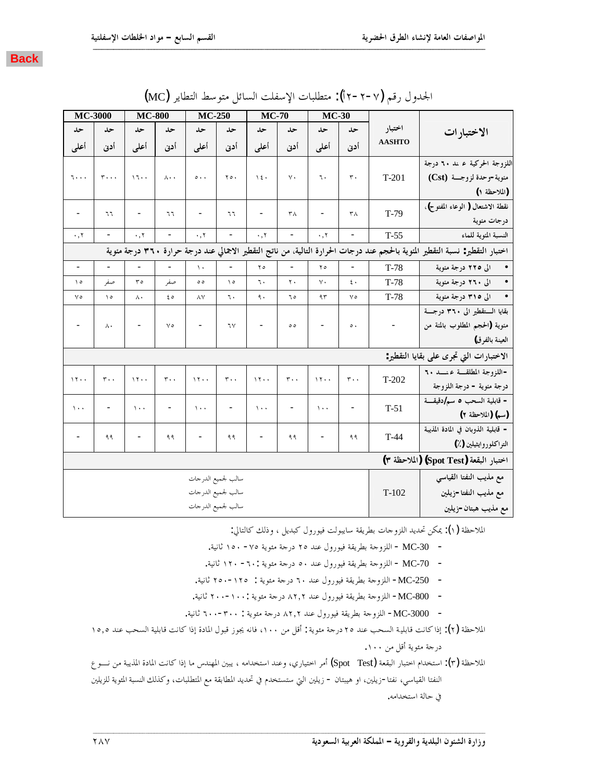| <b>MC-3000</b>                                                                                                                |                              | <b>MC-800</b>            |                          | <b>MC-250</b>            |                              | <b>MC-70</b>             |                              | <b>MC-30</b>      |                              |                          |                                         |
|-------------------------------------------------------------------------------------------------------------------------------|------------------------------|--------------------------|--------------------------|--------------------------|------------------------------|--------------------------|------------------------------|-------------------|------------------------------|--------------------------|-----------------------------------------|
| حد                                                                                                                            | حد                           | حد                       | حد                       | حد                       | حد                           | حد                       | حد                           | حد                | حد                           | اختبار                   | الاختبار ات                             |
| أعلى                                                                                                                          | أدن                          | أعلمي                    | أدن                      | أعلى                     | أدنى                         | أعلمي                    | أدن                          | أعلمي             | أدن                          | <b>AASHTO</b>            |                                         |
|                                                                                                                               |                              |                          |                          |                          |                              |                          |                              |                   |                              |                          | اللزوجة الحركية عـند ٦٠ درجة            |
| ۰۰۰ تا                                                                                                                        | $r \cdots$                   | 17.1                     | $\lambda \cdot \cdot$    | $\circ \cdot \cdot$      | $\mathbf{y} \circ \cdot$     | $\setminus$ { $\cdot$    | $\vee$ .                     | ٦.                | $\mathbf r$ .                | $T-201$                  | منوية-وحدة لزوجـــة  (Cst)              |
|                                                                                                                               |                              |                          |                          |                          |                              |                          |                              |                   |                              |                          | (الملاحظة ١)                            |
|                                                                                                                               |                              |                          |                          |                          |                              |                          |                              |                   |                              |                          | نقطة الاشتعال ( الوعاء المفتوح)،        |
|                                                                                                                               | ٦٦                           | $\overline{\phantom{a}}$ | ٦٦                       |                          | ٦٦                           | $\overline{\phantom{0}}$ | ٣٨                           | $\qquad \qquad -$ | ٣٨                           | $T-79$                   | درجات مئوية                             |
| $\cdot$ , $\tau$                                                                                                              | $\qquad \qquad \blacksquare$ | $\cdot$ , $\tau$         | $\overline{\phantom{a}}$ | $\cdot$ , $\tau$         | $\qquad \qquad \blacksquare$ | $\cdot$ , $\uparrow$     | $\overline{\phantom{a}}$     | $\cdot$ , $\tau$  | $\overline{\phantom{a}}$     | $T-55$                   | النسبة المنوية للماء                    |
| اختبار التقطير: نسبة التقطير المئوية بالحجم عند درجات الحرارة التالية، من ناتج التقطير الاجمالي عند درجة حرارة ٣٦٠ درجة مئوية |                              |                          |                          |                          |                              |                          |                              |                   |                              |                          |                                         |
| $\overline{\phantom{a}}$                                                                                                      | $\overline{\phantom{a}}$     | $\overline{\phantom{a}}$ | $\overline{\phantom{a}}$ | $\mathcal{N}$            | $\qquad \qquad \blacksquare$ | $\mathbf{y}$             | $\overline{\phantom{0}}$     | ه ۲               | $\qquad \qquad \blacksquare$ | $T-78$                   | الى ٢٢٥ درجة مئوية                      |
| ه ۱                                                                                                                           | صفر                          | ۳٥                       | صفر                      | ه ه                      | $\Delta$                     | ٦.                       | ٢٠                           | γ.                | $\epsilon$ .                 | $T-78$                   | • الى ٢٦٠ درجة مئوية                    |
| ٧٥                                                                                                                            | $\setminus \circ$            | Λ.                       | ه ٤                      | $\wedge$ Y               | ٦.                           | $\mathfrak{q}$ .         | ٥ ٦                          | ۹۳                | $\vee \circ$                 | $T-78$                   | • الى ٣١٥ درجة مئوية                    |
|                                                                                                                               |                              |                          |                          |                          |                              |                          |                              |                   |                              |                          | بقايا الستقطير الى ٣٦٠ درجسة            |
|                                                                                                                               | $\wedge\cdot$                |                          | $\vee$                   |                          | ٦٧                           |                          | ه ه                          |                   | $\circ$ .                    | $\overline{\phantom{0}}$ | منوية (الحجم المطلوب بالمئة من          |
|                                                                                                                               |                              |                          |                          |                          |                              |                          |                              |                   |                              |                          | العينة بالفرق)                          |
|                                                                                                                               |                              |                          |                          |                          |                              |                          |                              |                   |                              |                          | الاختبارات التي تجرى على بقايا التقطير: |
|                                                                                                                               |                              |                          |                          |                          |                              |                          |                              |                   |                              |                          | -اللزوجة المطلقة عنسد ٢٠                |
| 11.4                                                                                                                          | $r \cdot$                    | 17.7                     | $r \cdot$                | 17.7                     | $r \cdot \cdot$              | 11.                      | $r \cdot \cdot$              | 17.1              | $r \cdot \cdot$              | T-202                    | درجة مئوية - درجة اللزوجة               |
|                                                                                                                               |                              |                          |                          |                          |                              |                          |                              |                   |                              |                          | - قابلية السحب ٥ سم/دقيقة               |
| $\langle \cdot \rangle$                                                                                                       | $\overline{\phantom{a}}$     | $\lambda$ .              |                          | $\lambda$ .              |                              | $\langle \cdot \rangle$  | $\qquad \qquad \blacksquare$ | $\mathcal{N}$     |                              | $T-51$                   | (سم) (الملاحظة ٢)                       |
|                                                                                                                               |                              | $\overline{\phantom{a}}$ |                          | $\overline{\phantom{0}}$ |                              | $\overline{\phantom{0}}$ |                              | $\qquad \qquad -$ |                              |                          | - قابلية الذوبان في المادة المذيبة      |
|                                                                                                                               | ۹۹                           |                          | ۹۹                       |                          | ۹۹                           |                          | ۹۹                           |                   | ۹۹                           | $T-44$                   | التراكلوروايشيلين (٪)                   |
|                                                                                                                               |                              |                          |                          |                          |                              |                          |                              |                   |                              |                          | اختبار البقعة (Spot Test) (الملاحظة ٣)  |
|                                                                                                                               |                              |                          |                          | سالب لجميع الدرجات       |                              |                          |                              |                   |                              |                          | مع مذيب النفتا القياسي                  |
|                                                                                                                               |                              |                          |                          | سالب لجميع الدرجات       |                              |                          |                              |                   |                              | $T-102$                  | مع مذيب النفتا-زيلين                    |
|                                                                                                                               |                              |                          |                          | سالب لجميع الدرجات       |                              |                          |                              |                   |                              |                          | مع مذيب هبتان-زيلين                     |

|  |  | الجدول رقم (٧-٢-٢أ): متطلبات الإسفلت السائل متوسط التطاير (MC) |  |  |  |  |  |  |  |  |
|--|--|----------------------------------------------------------------|--|--|--|--|--|--|--|--|
|--|--|----------------------------------------------------------------|--|--|--|--|--|--|--|--|

**ººººººººººººººººººººººººººººººººººººººººººººººººººººººººººººººººººººººººººººººººººººººººººººººººººººººººººººººººººººººººººººººººººººººº**

الملاحظة (١): يمكن تحديد اللزوجات بطريقة سايبولت فيورول كبديل ، وذلك كالتالي:

- − MC-30 اللزوجة بطريقة فيورول عند ٢٥ درجة مئوية ٢٥٠ ١٥٠ ثانية.
- MC-70 اللزوجة بطريقة فيورول عند ٥٠ درجة مئوية :٦٠- ١٢٠ ثانية.
- − MC-250− اللزوجة بطريقة فيورول عند ٦٠ درجة مئوية : 1٢٥−٢٥٠ ثانية.
- − MC-800− اللزوجة بطريقة فيورول عند ٨٢,٢ درجة مئوية : ١٠٠−٢٠٠ ثانية.
- .ƨȈǻƢƯ ÓÍÍ-ÐÍÍ :ƨȇȂƠǷƨƳǁƽ ÕÏÏ ƾǼǟDZȁǁȂȈǧƨǬȇǂǘƥƨƳȁDŽǴdzơ -MC-3000 -
- الملاحظة (۲): إذا كانت قابلية السحب عند ٢٥ درجة مئوية : أقل من ١٠٠، فانه يجوز قبول المادة إذا كانت قابلية السحب عند ١٥,٥ درجة مئوية أقل من ١٠٠.
- الملاحظة (٣): استخدام احتبار البقعة (Spot Test) أمر احتياري، وعند استخدامه ، يبين المهندس ما إذا كانت المادة المذيبة من نـــو ع النفتا القياسي، نفتا−زيلين، او هيبتان − زيلين التي ستستخدم في تحديد المطابقة مع المتطلبات، وكذلك النسبة المئوية للزيلين في حالة استخدامه.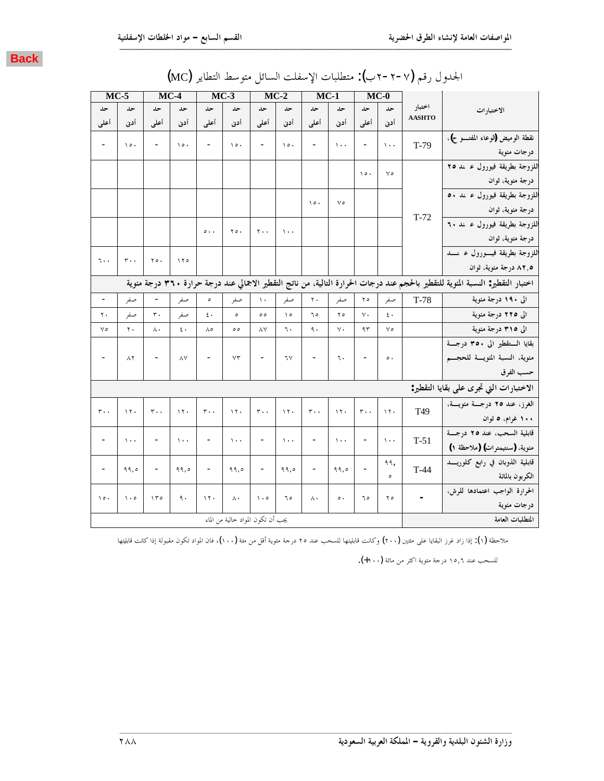|  |  |  |  |  |  |  | الجمدول رقم (٧-٢-٢ب): متطلبات الإسفلت السائل متوسط التطاير (MC) |
|--|--|--|--|--|--|--|-----------------------------------------------------------------|
|--|--|--|--|--|--|--|-----------------------------------------------------------------|

| $MC-5$                   |                       |                              | $MC-4$                |                          | $MC-3$                            |                          | $MC-2$                |                              | $MC-1$      |                          | $MC-0$           |                          |                                                                                                                                 |
|--------------------------|-----------------------|------------------------------|-----------------------|--------------------------|-----------------------------------|--------------------------|-----------------------|------------------------------|-------------|--------------------------|------------------|--------------------------|---------------------------------------------------------------------------------------------------------------------------------|
| حد                       | حد                    | حد                           | حد                    | حد                       | حد                                | حد                       | حد                    | حد                           | حد          | حد                       | حد               | اختبار                   | الاختبارات                                                                                                                      |
| أعلى                     | أدن                   | أعلى                         | أدنى                  | أعلى                     | أدن                               | أعلمي                    | أدن                   | أعلى                         | أدنى        | أعلى                     | أدن              | <b>AASHTO</b>            |                                                                                                                                 |
| $\overline{\phantom{0}}$ | $\lambda \circ \cdot$ | $\overline{\phantom{a}}$     | $\lambda \circ \cdot$ | $\overline{\phantom{a}}$ | $\lambda \circ \cdot$             | $\overline{\phantom{a}}$ | $\lambda \circ \cdot$ | $\overline{\phantom{a}}$     | $\lambda$ . | $\overline{\phantom{a}}$ | $\mathcal{N}$ .  | $T-79$                   | نقطة الوميض (لوعاء المفتـــو ح)،                                                                                                |
|                          |                       |                              |                       |                          |                                   |                          |                       |                              |             |                          |                  |                          | درجات مئوية                                                                                                                     |
|                          |                       |                              |                       |                          |                                   |                          |                       |                              |             | $\lambda \circ \cdot$    | $\vee$           |                          | اللزوجة بطريقة فيورول ء نند ٢٥                                                                                                  |
|                          |                       |                              |                       |                          |                                   |                          |                       |                              |             |                          |                  |                          | درجة مئوية، ثوان                                                                                                                |
|                          |                       |                              |                       |                          |                                   |                          |                       |                              | $\vee$      |                          |                  |                          | اللزوجة بطريقة فيورول ء ىد ٥٠                                                                                                   |
|                          |                       |                              |                       |                          |                                   |                          |                       | $\lambda \circ \cdot$        |             |                          |                  |                          | درجة مئوية، ثوان                                                                                                                |
|                          |                       |                              |                       |                          |                                   |                          |                       |                              |             |                          |                  | $T-72$                   | اللزوجة بطريقة فيورول عدند ٦٠                                                                                                   |
|                          |                       |                              |                       | $\circ \cdot \cdot$      | $Y \circ \cdot$                   | ٢٠.                      | $\lambda$ .           |                              |             |                          |                  |                          | درجة مئوية، ثوان                                                                                                                |
|                          |                       |                              |                       |                          |                                   |                          |                       |                              |             |                          |                  |                          | اللزوجة بطريقة فيسورول عرنسد                                                                                                    |
| ٦.٠                      | $r \cdot \cdot$       | $\mathbf{y} \circ \cdot$     | 170                   |                          |                                   |                          |                       |                              |             |                          |                  |                          | ۰٫۵ درجة مئوية، ثوان                                                                                                            |
|                          |                       |                              |                       |                          |                                   |                          |                       |                              |             |                          |                  |                          | اختبار التقطير: النسبة المئوية للتقطير بالحجم عند درجات الحرارة التالية، من ناتج التقطير الاجمالي عند درجة حرارة ٣٦٠ درجة مئوية |
| $\overline{\phantom{a}}$ | صفر                   |                              | صفر                   | $\circ$                  | صفر                               | $\mathcal{L}$            | صفر                   | $\mathbf{r}$ .               | صفر         | ه ۲                      | صفر              | $T-78$                   | الى ١٩٠ درجة مئوية                                                                                                              |
| ٢.                       | صفر                   | $\mathbf r$ .                | صفر                   | $\mathfrak{c}$ .         | $\circ$                           | $\circ$                  | $\Delta$              | ٦٥                           | ه ۲         | $V \cdot$                | $\mathfrak{c}$ . |                          | الى ٢٢٥ درجة مئوية                                                                                                              |
| $\vee$                   | $\mathbf{r}$ .        | $\wedge$                     | $\mathfrak{c}$ .      | ٨٥                       | $\circ$                           | ٨V                       | ٦.                    | ٩.                           | γ.          | ۹۳                       | $\vee$           |                          | الی ۳۱۵ درجة مئوية                                                                                                              |
|                          |                       |                              |                       |                          |                                   |                          |                       |                              |             |                          |                  |                          | بقايا الستقطير الى ٣٥٠ درجسة                                                                                                    |
| $\overline{\phantom{a}}$ | ۸۲                    | $\overline{\phantom{a}}$     | ۸٧                    | $\overline{\phantom{0}}$ | $Y\Upsilon$                       | $\overline{\phantom{a}}$ | ٦٧                    | $\overline{\phantom{a}}$     | ٦.          | $\overline{\phantom{0}}$ | $\circ$ .        |                          | مئوية، النسبة المئويسة للحجسم                                                                                                   |
|                          |                       |                              |                       |                          |                                   |                          |                       |                              |             |                          |                  |                          | حسب الفرق                                                                                                                       |
|                          |                       |                              |                       |                          |                                   |                          |                       |                              |             |                          |                  |                          | الاختبارات التي تجرى على بقايا التقطير:                                                                                         |
|                          |                       |                              |                       |                          |                                   |                          |                       |                              |             |                          |                  |                          | الغرز، عند ٢٥ درجسة مئويسة،                                                                                                     |
| $r \cdot \cdot$          | 17.                   | $r \cdot \cdot$              | 17.                   | $r \cdot$                | 17.                               | $r \cdot$                | $\lambda \tau$ .      | $r \cdot$                    | $\gamma$ .  | $r \cdot \cdot$          | 15.              | T49                      | ۱۰۰ غرام، ۵ ثوان                                                                                                                |
|                          |                       |                              |                       |                          |                                   |                          |                       |                              |             |                          |                  |                          | قابلية السحب، عند ٢٥ درجــة                                                                                                     |
| $\overline{\phantom{a}}$ | $\lambda$ .           | $\overline{\phantom{a}}$     | $\lambda$ .           | $\overline{\phantom{a}}$ | $\lambda$ .                       | $\overline{\phantom{a}}$ | $\Delta$ .            | $\qquad \qquad -$            | $\cdots$    | $\overline{a}$           | $\mathcal{N}$    | $T-51$                   | مئوية، (سنتيمترات) (ملاحظة ١)                                                                                                   |
|                          |                       |                              |                       |                          |                                   |                          |                       |                              |             |                          | ۹۹,              |                          | قابلية الذوبان في رابع كلوريسد                                                                                                  |
| $\overline{\phantom{a}}$ | 99,0                  | $\qquad \qquad \blacksquare$ | 99,0                  | $\overline{\phantom{a}}$ | ۹۹,٥                              | $\qquad \qquad -$        | 99,0                  | $\qquad \qquad \blacksquare$ | ۹۹,٥        |                          | $\circ$          | $T-44$                   | الكربون بالمائة                                                                                                                 |
|                          |                       |                              |                       |                          |                                   |                          |                       |                              |             |                          |                  |                          | الحرارة الواجب اعتمادها للرش،                                                                                                   |
| $\lambda \circ \cdot$    | $\cdot \circ$         | 150                          | ٩.                    | $\lambda \tau$ .         | $\wedge$ .                        | $\cdot \circ$            | ٥ ٦                   | $\Lambda$                    | $\circ$ .   | ٥ ٦                      | ه ۲              | $\overline{\phantom{a}}$ | درجات مئوية                                                                                                                     |
|                          |                       |                              |                       |                          | يجب أن تكون المواد حالية من الماء |                          |                       |                              |             |                          |                  |                          | المتطلبات العامة                                                                                                                |

ملاحظة (١): إذا زاد غرز البقايا على مثتين (٢٠٠) وكانت قابليتها للسحب عند ٢٥ درجة متوية أقل من مئة (١٠٠)، فان المواد تكون مقبولة إذا كانت قابليتها

للسحب عند ١٥,٦ درجة مئوية اكثر من مائة (١٠٠+).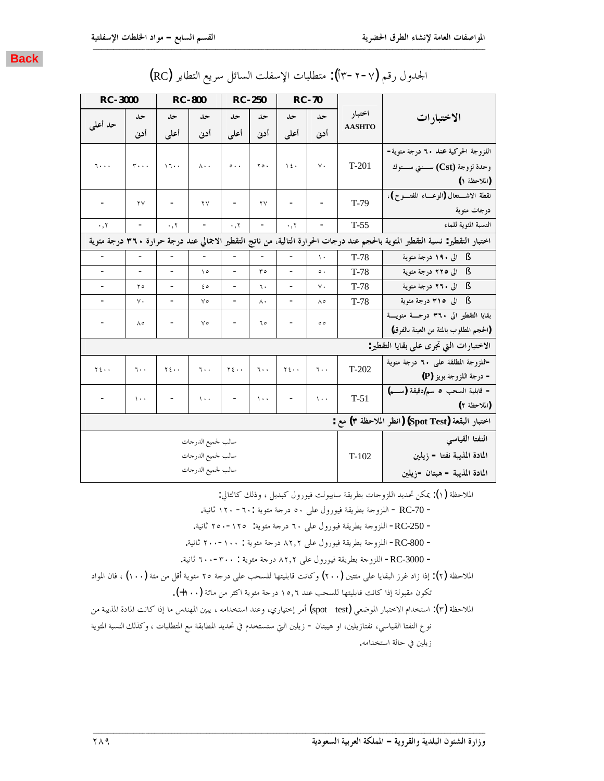| <b>RC-3000</b>           |                                                                                                                               |                          | <b>RC-800</b>            |                              | <b>RC-250</b>                 |                              | <b>RC-70</b>                 |               |                                                  |  |
|--------------------------|-------------------------------------------------------------------------------------------------------------------------------|--------------------------|--------------------------|------------------------------|-------------------------------|------------------------------|------------------------------|---------------|--------------------------------------------------|--|
|                          | حد                                                                                                                            | حد                       | حد                       | حد                           | حد                            | حد                           | حد                           | اختبار        | الاختبارات                                       |  |
| حد أعلى                  | أدن                                                                                                                           | أعلمي                    | أدنى                     | أعلمي                        | أدن                           | أعلمي                        | أدن                          | <b>AASHTO</b> |                                                  |  |
|                          |                                                                                                                               |                          |                          |                              |                               |                              |                              |               | اللزوجة الحركية عند ٦٠ درجة مئوية-               |  |
| ۰۰۰ آ                    | $r \cdots$                                                                                                                    | 17.7                     | $\wedge \cdot$           | $\circ \cdot \cdot$          | $\mathbf{y} \circ \mathbf{y}$ | 12.                          | $\vee$ .                     | $T-201$       | وحدة لزوجة (Cst) ســنتي ســتوك                   |  |
|                          |                                                                                                                               |                          |                          |                              |                               |                              |                              |               | (الملاحظة ١)                                     |  |
|                          |                                                                                                                               |                          |                          |                              |                               |                              |                              |               | نقطة الاشـــتعال (الوعـــاء المفتـــوح)،         |  |
| $\overline{\phantom{a}}$ | $\mathbf{y}$                                                                                                                  | -                        | $\mathbf{y}$             | $\qquad \qquad \blacksquare$ | ٢٧                            |                              |                              | $T-79$        | درجات مئوية                                      |  |
| $\cdot$ , $\tau$         | $\overline{\phantom{a}}$                                                                                                      | $\cdot$ , $\tau$         | $\overline{\phantom{a}}$ | $\cdot$ , $\tau$             | $\overline{\phantom{a}}$      | $\cdot$ , $\tau$             | $\qquad \qquad \blacksquare$ | $T-55$        | النسبة المئوية للماء                             |  |
|                          | اختبار التقطير: نسبة التقطير المئوية بالحجم عند درجات الحرارة التالية، من ناتج التقطير الاجمالي عند درجة حرارة ٣٦٠ درجة مئوية |                          |                          |                              |                               |                              |                              |               |                                                  |  |
| $\overline{\phantom{a}}$ | $\overline{a}$                                                                                                                | $\overline{\phantom{a}}$ | $\overline{\phantom{a}}$ |                              | $\overline{\phantom{a}}$      |                              | $\lambda$                    | $T-78$        | § الى ١٩٠ درجة مئوية                             |  |
|                          | $\overline{\phantom{0}}$                                                                                                      | $\overline{a}$           | $\Delta$                 | $\overline{\phantom{0}}$     | ه ۳                           |                              | $\circ$ .                    | $T-78$        | الی ۲۲۵ درجة مئوية<br>- S                        |  |
|                          | ه ۲                                                                                                                           | $\overline{a}$           | ه ٤                      | $\overline{\phantom{0}}$     | ٦.                            |                              | $\vee$ .                     | $T-78$        | § الى ٢٦٠ درجة مئوية                             |  |
|                          | ٧.                                                                                                                            | $\overline{\phantom{0}}$ | $\vee$                   | $\overline{\phantom{0}}$     | Λ,                            | $\blacksquare$               | ٨٥                           | $T-78$        | § الى ٣١٥ درجة مئوية                             |  |
|                          | ٨٥                                                                                                                            |                          | $\vee$                   |                              | ٥ ٦                           |                              | ه ه                          |               | بقايا التقطير الى ٣٦٠ درجــة مئويــة             |  |
|                          |                                                                                                                               |                          |                          |                              |                               |                              |                              |               | (الحجم المطلوب بالمئة من العينة بالفرق)          |  |
|                          |                                                                                                                               |                          |                          |                              |                               |                              |                              |               | الاختبارات التي تجرى على بقايا التقطير:          |  |
| $Y \xi \cdot \cdot$      | $\mathbf{L}$ .                                                                                                                | $Y\xi \cdot \cdot$       | 7.1                      | $Y \xi \cdot \cdot$          | ٦.,                           | $Y \xi \cdot \cdot$          | ٦.,                          | $T-202$       | -اللزوجة المطلقة على ٦٠ درجة منوية               |  |
|                          |                                                                                                                               |                          |                          |                              |                               |                              |                              |               | - درجة اللزوجة بويز (P)                          |  |
|                          | $\sqrt{1 + 1}$                                                                                                                |                          | $\mathcal{N}$            | -                            | $\lambda \cdot \cdot$         | $\qquad \qquad \blacksquare$ | $\lambda$ .                  | $T-51$        | - قابلية السحب ٥ سم/دقيقة (سم)                   |  |
|                          |                                                                                                                               |                          |                          |                              |                               |                              |                              |               | (الملاحظة ٢)                                     |  |
|                          |                                                                                                                               |                          |                          |                              |                               |                              |                              |               | اختبار البقعة (Spot Test) (انظر الملاحظة ٣) مع : |  |
|                          |                                                                                                                               |                          | سالب لجميع الدرجات       |                              |                               |                              |                              |               | النفتا القياسي                                   |  |
|                          |                                                                                                                               |                          | سالب لجميع الدرجات       |                              |                               |                              |                              | $T-102$       | المادة المذيبة نفتا - زيلين                      |  |
|                          |                                                                                                                               |                          | سالب لجميع الدرجات       |                              |                               |                              |                              |               | المادة المذيبة - هبتان -زيلين                    |  |
|                          |                                                                                                                               |                          |                          |                              |                               |                              |                              |               |                                                  |  |

## (RC) الجحدول رقم (٢-٢-٣أ): متطلبات الإسفلت السائل سريع التطاير (RC)

**ººººººººººººººººººººººººººººººººººººººººººººººººººººººººººººººººººººººººººººººººººººººººººººººººººººººººººººººººººººººººººººººººººººººº**

الملاحظة (١): يمكن تحديد اللزوجات بطريقة سايبولت فيورول كبديل ، وذلك كالتالي:

− RC-70 - اللزوجة بطريقة فيورول على ٥٠ درجة مئوية :٦٠- ١٢٠ ثانية.

− RC-250− اللزوجة بطريقة فيورول على ٦٠ درجة مئوية: ٢٥٠٥-٢٥٠ ثانية.

− RC-800− اللزوجة بطريقة فيورول على ٨٢٫٢ درجة مئوية : ٢٠٠٠-٢٠٠ ثانية.

- RC-3000− اللزوجة بطريقة فيورول على ٢,٢٪ درجة مئوية : ٣٠٠-٢٠٠ ثانية.

الملاحظة (٢): إذا زاد غرز البقايا على مئتين (٢٠٠) وكانت قابليتها للسحب على درجة ٢٥ مئوية أقل من مئة (١٠٠) ، فان المواد .<br>تكون مقبولة إذا كانت قابليتها للسحب عند ١٥,٦ درجة مئوية اكثر من مائة (١٠٠+).

الملاحظة (٣): استخدام الاختبار الموضعي (spot test) أمر إختياري، وعند استخدامه ، يبين المهندس ما إذا كانت المادة المذيبة من

 $\blacksquare$ 

نوع النفتا القياسي، نفتازيلين، او هيبتان – زيلين التي ستستخدم في تحديد المطابقة مع المتطلبات ، وكذلك النسبة المئوية ; يلين في حالة استخدامه.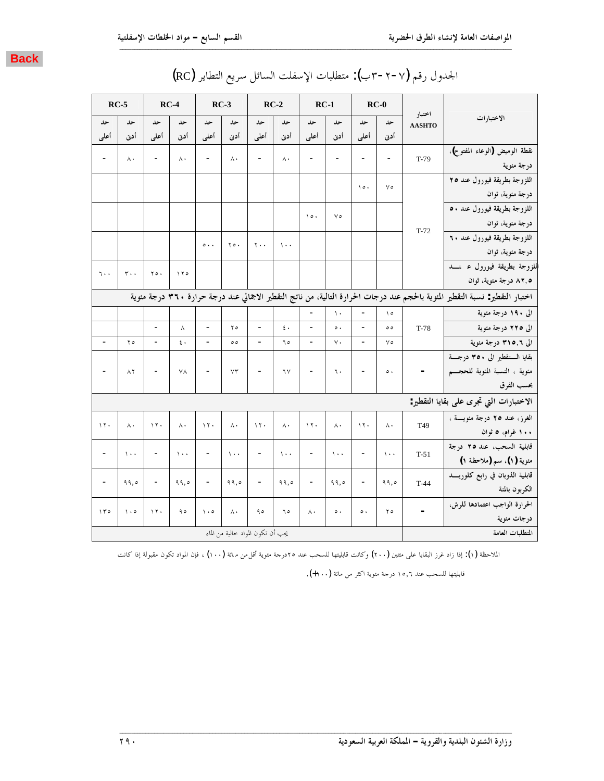|                                                                                                                               |                         |                          | $RC-0$                       |                          | $RC-1$                   |                  | $RC-2$                   |                                   | $RC-3$                       | $RC-4$           |                              |                 | $RC-5$                   |
|-------------------------------------------------------------------------------------------------------------------------------|-------------------------|--------------------------|------------------------------|--------------------------|--------------------------|------------------|--------------------------|-----------------------------------|------------------------------|------------------|------------------------------|-----------------|--------------------------|
| الاختبارات                                                                                                                    | اختبار<br><b>AASHTO</b> | حد                       | حد                           | حد                       | حد                       | حد               | حد                       | حد                                | حد                           | حد               | حد                           | حد              | حد                       |
|                                                                                                                               |                         | أدن                      | أعلى                         | أدن                      | أعلى                     | أدن              | أعلمي                    | أدن                               | أعلى                         | أدن              | أعلى                         | أدنى            | أعلى                     |
| نقطة الوميض (الوعاء المفتوح)،                                                                                                 | $T-79$                  | $\overline{\phantom{a}}$ | $\overline{a}$               | $\overline{\phantom{m}}$ | $\overline{\phantom{a}}$ | Λ.               | $\overline{\phantom{0}}$ | $\wedge\cdot$                     | $\overline{\phantom{a}}$     | $\wedge$ .       | $\overline{\phantom{a}}$     | Λ.              | $\overline{\phantom{0}}$ |
| درجة مئوية                                                                                                                    |                         |                          |                              |                          |                          |                  |                          |                                   |                              |                  |                              |                 |                          |
| اللزوجة بطريقة فيورول عند ٢٥                                                                                                  |                         | ٧٥                       | $\lambda \circ \cdot$        |                          |                          |                  |                          |                                   |                              |                  |                              |                 |                          |
| درجة مئوية، ثوان                                                                                                              |                         |                          |                              |                          |                          |                  |                          |                                   |                              |                  |                              |                 |                          |
| اللزوجة بطريقة فيورول عند ٥٠                                                                                                  |                         |                          |                              | ٧٥                       | $\lambda \circ \cdot$    |                  |                          |                                   |                              |                  |                              |                 |                          |
| درجة مئوية، ثوان                                                                                                              | $T-72$                  |                          |                              |                          |                          |                  |                          |                                   |                              |                  |                              |                 |                          |
| اللزوجة بطريقة فيورول عند ٦٠                                                                                                  |                         |                          |                              |                          |                          | $\lambda$ .      | $\mathbf{y}$ .           | $\mathbf{y} \circ \cdot$          | $\circ \cdot \cdot$          |                  |                              |                 |                          |
| درجة مئوية، ثوان                                                                                                              |                         |                          |                              |                          |                          |                  |                          |                                   |                              |                  |                              |                 |                          |
| اللزوجة بطريقة فيورول ء نسد                                                                                                   |                         |                          |                              |                          |                          |                  |                          |                                   |                              | ۱۲۰              | ٢٥.                          | $r \cdot \cdot$ | ٦٠,                      |
| ۸۲٫۵ درجة مئوية، ثوان                                                                                                         |                         |                          |                              |                          |                          |                  |                          |                                   |                              |                  |                              |                 |                          |
| اختبار التقطير: نسبة التقطير المئوية بالحجم عند درجات الحرارة التالية، من ناتج التقطير الاجمالي عند درجة حرارة ٣٦٠ درجة مئوية |                         |                          |                              |                          |                          |                  |                          |                                   |                              |                  |                              |                 |                          |
| الی ۱۹۰ درجة مئوية                                                                                                            |                         | $\setminus \circ$        | $\frac{1}{2}$                | $\mathcal{N}$            |                          |                  |                          |                                   |                              |                  |                              |                 |                          |
| الی ۲۲۵ درجة مئوية                                                                                                            | $T-78$                  | $\circ$                  | $\overline{a}$               | $\circ$ .                |                          | $\mathfrak{c}$ . | $\overline{a}$           | ه ۲                               | $\overline{\phantom{0}}$     | Λ                | $\overline{\phantom{a}}$     |                 |                          |
| الی ۳۱۵٫۶ درجة مئوية                                                                                                          |                         | ٧٥                       | $\qquad \qquad \blacksquare$ | $\vee$ .                 | $\overline{\phantom{a}}$ | ٦٥               | $\overline{\phantom{0}}$ | ه ه                               | $\overline{\phantom{a}}$     | $\mathfrak{c}$ . | $\overline{\phantom{a}}$     | ه ۲             | $\overline{\phantom{0}}$ |
| بقايا الستقطير الى ٣٥٠ درجسة                                                                                                  |                         |                          |                              |                          |                          |                  |                          |                                   |                              |                  |                              |                 |                          |
| مئوية ، النسبة المئوية للحجـــم                                                                                               | $\sim$                  | $\circ$ .                | $\qquad \qquad \blacksquare$ | ٦.                       | $\overline{\phantom{a}}$ | ٦٧               | $\overline{\phantom{0}}$ | $Y\mathcal{T}$                    | $\overline{\phantom{a}}$     | ٧٨               | $\overline{\phantom{a}}$     | $\wedge$ ٢      | $\overline{\phantom{0}}$ |
| بحسب الفرق                                                                                                                    |                         |                          |                              |                          |                          |                  |                          |                                   |                              |                  |                              |                 |                          |
| الاختبارات التي تجرى على بقايا التقطير:                                                                                       |                         |                          |                              |                          |                          |                  |                          |                                   |                              |                  |                              |                 |                          |
| الغرز، عند ٢٥ درجة مئويسة ،                                                                                                   | T49                     | ٨٠                       | $\wedge \wedge$              | Λ.                       | $\gamma \gamma$ .        | $\wedge$ .       | $\mathcal{N}$            | $\wedge$ .                        | $\lambda \tau$ .             | $\wedge$ .       | 17.                          | Λ,              | $\eta$                   |
| ۱۰۰ غرام، ۵ ثوان                                                                                                              |                         |                          |                              |                          |                          |                  |                          |                                   |                              |                  |                              |                 |                          |
| قابلية السحب، عند ٢٥ درجة                                                                                                     | $T-51$                  | $\mathcal{N}$            | $\overline{\phantom{a}}$     | $\Delta$ + +             | $\overline{\phantom{a}}$ | $\lambda$ .      | $\overline{\phantom{0}}$ | $\lambda$ .                       | $\overline{\phantom{a}}$     | $\lambda$ .      | $\overline{\phantom{a}}$     | $\lambda$ + +   | $\overline{\phantom{a}}$ |
| منوية (١)، سم (ملاحظة ١)                                                                                                      |                         |                          |                              |                          |                          |                  |                          |                                   |                              |                  |                              |                 |                          |
| قابلية الذوبان في رابع كلوريسد                                                                                                | $T-44$                  | 99,0                     | $\qquad \qquad -$            | 99,0                     | $\overline{\phantom{a}}$ | 99,0             | $\overline{\phantom{0}}$ | ۹۹,٥                              | $\qquad \qquad \blacksquare$ | ۹۹,٥             | $\qquad \qquad \blacksquare$ | ۹۹,٥            | $\overline{\phantom{a}}$ |
| الكربون بالمتة                                                                                                                |                         |                          |                              |                          |                          |                  |                          |                                   |                              |                  |                              |                 |                          |
| الحرارة الواجب اعتمادها للرش،                                                                                                 | $\overline{a}$          | ه ۲                      | $\circ$ .                    | $\circ$ .                | ۸۰                       | ٦٥               | ۹٥                       | ۸۰                                | $\cdot \circ$                | ۹٥               | $\mathcal{N}$ .              | $\cdot \circ$   | 100                      |
| درجات مئوية                                                                                                                   |                         |                          |                              |                          |                          |                  |                          |                                   |                              |                  |                              |                 |                          |
| المتطلبات العامة                                                                                                              |                         |                          |                              |                          |                          |                  |                          | يجب أن تكون المواد خالية من الماء |                              |                  |                              |                 |                          |

# (RC) الجدول رقم (٢-٢-٣ب): متطلبات الإسفلت السائل سريع التطاير (RC)

**ººººººººººººººººººººººººººººººººººººººººººººººººººººººººººººººººººººººººººººººººººººººººººººººººººººººººººººººººººººººººººººººººººººººº**

الملاحظة (١): إذا زاد غرز البقايا على متتين (٢٠٠) وكانت قابليتها للسحب عند ٢٥درجة مثوية أقل¢ن م1ة (١٠٠) ، فإن المواد تكون مقبولة إذا كانت

قابليتها للسحب عند ١٥,٦ درجة مئوية اكثر من مائة (١٠٠+).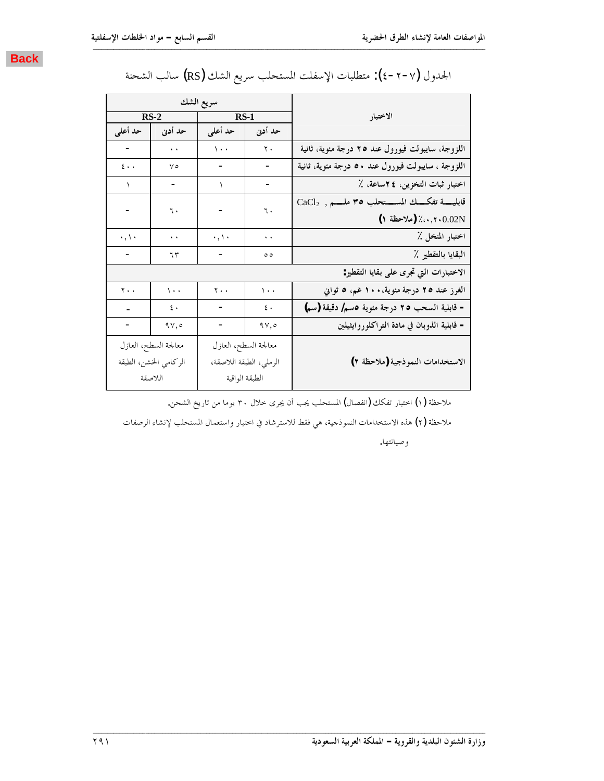

|                                |                       | سريع الشك           |                           |                                                   |
|--------------------------------|-----------------------|---------------------|---------------------------|---------------------------------------------------|
|                                | $RS-2$                | <b>RS-1</b>         |                           | الاختبار                                          |
| حد أعلى                        | حد أدنى               | حد أعلى             | حد أدنى                   |                                                   |
|                                | $\ddot{\phantom{1}}$  | $\sqrt{1 + 1}$      | $\mathbf{v}$ .            | اللزوجة، سايبولت فيورول عند ٢٥ درجة مئوية، ثانية  |
| $\mathbf{\mathfrak{c}}$ .<br>. | $\vee$                |                     |                           | اللزوجة ، سايبولت فيورول عند ٥٠ درجة مئوية، ثانية |
| $\lambda$                      | ۰                     | ١                   | -                         | اختبار ثبات التخزين، ٢٤ساعة، ٪                    |
|                                | ٦.                    |                     | ٦.                        | قابليسة تفكسك المسستحلب ٣٥ ملسم , CaCl2           |
|                                |                       |                     |                           | (ملاحظة ١)/ (ملاحظة ١)                            |
| $\cdot$ , \ $\cdot$            | $\ddot{\phantom{1}}$  | $\cdot$ , \ $\cdot$ | $\ddot{\phantom{1}}$      | اختبار المنخل ٪                                   |
|                                | ٦٣                    |                     | ه ه                       | البقايا بالتقطير ٪                                |
|                                |                       |                     |                           | الاختبارات التي تجرى على بقايا التقطير:           |
| $\mathbf{r}$ .                 | $\sqrt{1 + 1}$        | $\mathbf{y}$ .      | $\langle \cdot \rangle$ . | الغرز عند ٢٥ درجة مئوية، ١٠٠ غم، ٥ ثواني          |
|                                | ٤.                    | ۰                   | $\epsilon$ .              | - قابلية السحب ٢٥ درجة مئوية ٥سم/ دقيقة (سم)      |
|                                | 9y,0                  |                     | 9Y,0                      | – قابلية الذوبان في مادة التراكلوروايثيلين        |
|                                | معالجة السطح، العازل  |                     | معالجة السطح، العازل      |                                                   |
|                                | الركامي الخشن، الطبقة |                     | الرملي، الطبقة اللاصقة،   | الاستخدامات النموذجية (ملاحظة ٢)                  |
|                                | اللاصقة               | الطبقة الواقية      |                           |                                                   |

## الجدول (×-۲−٤): متطلبات الإسفلت المستحلب سريع الشك (RS) سالب الشحنة

**ººººººººººººººººººººººººººººººººººººººººººººººººººººººººººººººººººººººººººººººººººººººººººººººººººººººººººººººººººººººººººººººººººººººº**

ملاحظة (١) اختبار تفكك (انفصال) المستحلب يجب أن يجرى خلال ٣٠ يوما من تاريخ الشحن.

ملاحظة (٢) هذه الاستخدامات النموذجية، هي فقط للاسترشاد في اختيار واستعمال المستحلب لإنشاء الرصفات

وصيانتها.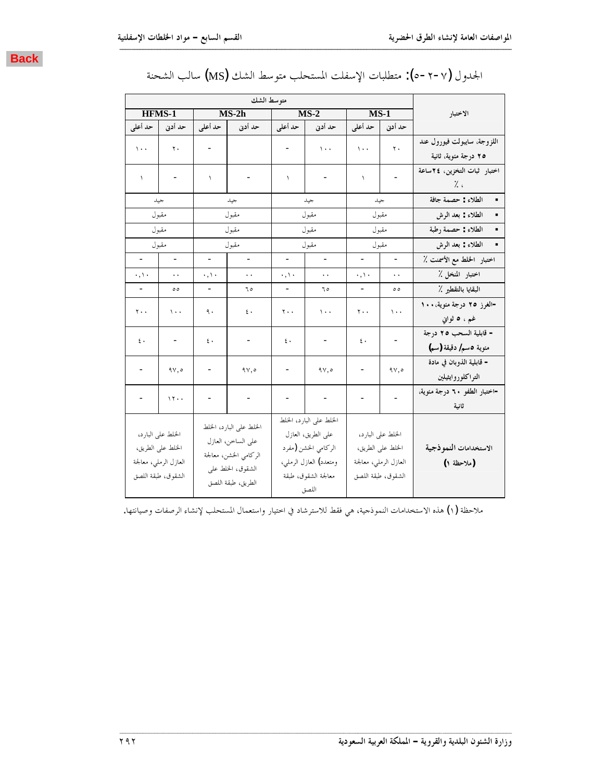|--|

|                          |                       |                          | متوسط الشك              |                          |                         |                             |                       |                              |
|--------------------------|-----------------------|--------------------------|-------------------------|--------------------------|-------------------------|-----------------------------|-----------------------|------------------------------|
| <b>HFMS-1</b>            |                       |                          | $MS-2h$                 |                          | $MS-2$                  | $MS-1$                      |                       | الاختبار                     |
| حد أدنى   حد أعلى        |                       |                          | حد أدنى محد أعلى        |                          | حد أدنى للمحد أعلى      | حد أدنى أحد أعلى            |                       |                              |
|                          |                       |                          |                         |                          |                         |                             |                       | اللزوجة، سايبولت فيورول عند  |
| $\sqrt{1 + 1}$           | $\mathbf{r}$ .        |                          |                         |                          | $\Delta$ .              | $\sqrt{1 + 1}$              | $\mathbf{r}$ .        | ٢٥ درجة مئوية، ثانية         |
| $\lambda$                |                       | $\lambda$                |                         | $\mathcal{L}$            |                         | $\sqrt{2}$                  |                       | اختبار ثبات التخزين، ٢٤ساعة  |
|                          |                       |                          |                         |                          |                         |                             |                       | $\frac{1}{2}$                |
|                          | جيد                   |                          | جيد                     |                          | جيد                     |                             | جيد                   | الطلاء : حصمة جافة           |
|                          | مقبول                 |                          | مقبول                   |                          | مقبول                   | مقبول                       |                       | الطلاء : بعد الرش            |
| مقبول                    |                       |                          | مقبول                   |                          | مقبول                   |                             | مقبول                 | الطلاء : حصمة رطبة           |
|                          | مقبول                 |                          | مقبول                   |                          | مقبول                   | مقبول                       |                       | الطلاء : بعد الرش            |
| $\overline{\phantom{a}}$ | $\overline{a}$        | $\overline{\phantom{0}}$ | $\frac{1}{2}$           | $\overline{\phantom{a}}$ | $\frac{1}{2}$           | $\overline{a}$              | $\overline{a}$        | اختبار الخلط مع الأسمنت ٪    |
| $\cdot$ , \ $\cdot$      | $\ddot{\phantom{1}}$  | $\cdot$ , \ $\cdot$      | $\ddot{\phantom{a}}$    | $\cdot$ , \ $\cdot$      | $\ddot{\phantom{1}}$ .  | $\cdot$ , $\setminus \cdot$ | $\ddot{\phantom{1}}$  | اختبار المنخل ٪              |
|                          | ه ه                   |                          | ٦٥                      |                          | ٦٥                      |                             | $\circ$               | البقايا بالتقطير ٪           |
| ٢.,                      | $\cdots$              |                          | $\epsilon$ .            | ٢٠٠                      | $\langle \cdot \rangle$ | ٢٠,                         | $\cdots$              | -الغرز ٢٥ درجة مئوية،١٠٠     |
|                          |                       | ٩.                       |                         |                          |                         |                             |                       | غم ، ٥ ثواڼې                 |
| $\epsilon$ .             |                       | ٤٠                       | $\qquad \qquad -$       | ٤.                       |                         | ٤.                          |                       | - قابلية السحب ٢٥ درجة       |
|                          |                       |                          |                         |                          |                         |                             |                       | مئوية ٥سم/ دقيقة (سم)        |
|                          | 9V,0                  |                          | 94,0                    |                          | 9Y,0                    |                             | 9Y,0                  | - قابلية الذوبان في مادة     |
|                          |                       |                          |                         |                          |                         |                             |                       | التراكلوروايثيلين            |
|                          | 17.4                  |                          | $\mathbb{L}$            |                          |                         |                             |                       | -اختبار الطفو ٢٠ درجة مئوية، |
|                          |                       |                          |                         |                          |                         |                             |                       | ثانية                        |
|                          |                       |                          | الخلط على البارد، الخلط |                          | الخلط على البارد، الخلط |                             |                       |                              |
| الخلط على البارد،        |                       |                          | على الساحن، العازل      | على الطريق، العازل       |                         |                             | الخلط على البارد،     |                              |
|                          | الخلط على الطريق،     |                          | الركامي الخشن، معالجة   |                          | الركامي الخشن (مفرد     |                             | الخلط على الطريق،     | الاستخدامات النموذجية        |
|                          | العازل الرملي، معالجة |                          | الشقوق، الخلط على       |                          | ومتعدد) العازل الرملي،  |                             | العازل الرملي، معالجة | (ملاحظة ١)                   |
|                          | الشقوق، طبقة اللصق    |                          | الطريق، طبقة اللصق      |                          | معالجة الشقوق، طبقة     | الشقوق، طبقة اللصق          |                       |                              |
|                          |                       |                          |                         |                          | اللصق                   |                             |                       |                              |

## الجدول (v−۲−0): متطلبات الإسفلت المستحلب متوسط الشك (MS) سالب الشحنة

**ººººººººººººººººººººººººººººººººººººººººººººººººººººººººººººººººººººººººººººººººººººººººººººººººººººººººººººººººººººººººººººººººººººººº**

ملاحظة (١) هذه الاستخدامات النموذجية، هي فقط للاسترشاد في احتيار واستعمال المستحلب لإنشاء الرصفات وصيانتها.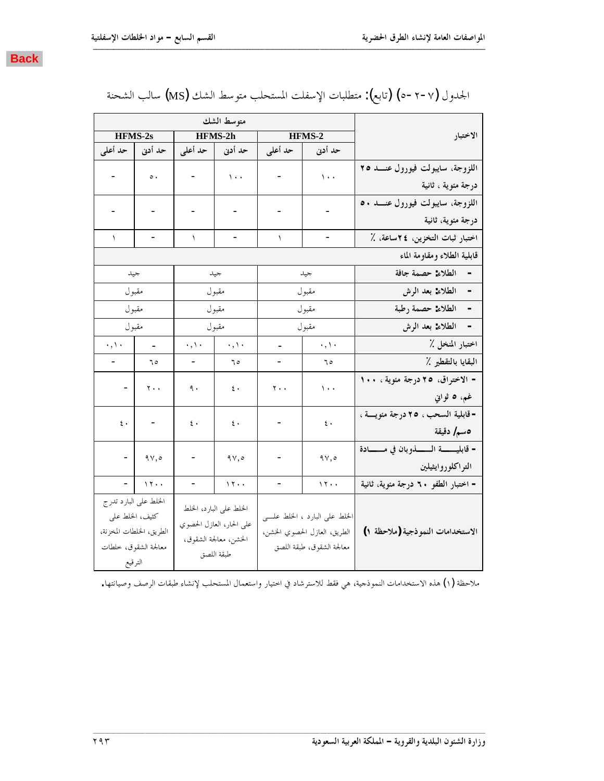

|                                                    |                                 |            | متوسط الشك               |                     |                          |                       |  |
|----------------------------------------------------|---------------------------------|------------|--------------------------|---------------------|--------------------------|-----------------------|--|
| الاختبار                                           |                                 | HFMS-2     |                          | HFMS-2h             |                          | HFMS-2s               |  |
|                                                    | حد أدنى المحد أعلى              |            |                          | حد أدنى   حد أعلى   |                          | حد أدنى   حد أعلى     |  |
| اللزوجة، سايبولت فيورول عنـــد ٢٥                  | $\sqrt{1+\frac{1}{2}}$          |            | $\bar{\mathcal{N}}$ .    |                     | $\circ$ .                |                       |  |
| درجة مئوية ، ثانية                                 |                                 |            |                          |                     |                          |                       |  |
| اللزوجة، سايبولت فيورول عنـــد ٥٠                  |                                 |            |                          |                     |                          |                       |  |
| درجة مئوية، ثانية                                  |                                 |            |                          |                     |                          |                       |  |
| اختبار ثبات التخزين، ٢٤ساعة، ٪                     |                                 | $\sqrt{2}$ |                          | $\mathcal{L}$       |                          | $\mathcal{L}$         |  |
| قابلية الطلاء ومقاومة الماء                        |                                 |            |                          |                     |                          |                       |  |
| - الطلاء: حصمة جافة                                | جيد                             |            | جيد                      |                     |                          | جيد                   |  |
| - الطلاء: بعد الرش                                 | مقبول                           |            | مقبول                    |                     | مقبول                    |                       |  |
| الطلاء: حصمة رطبة<br>$\overline{a}$                | مقبول                           |            | مقبول                    |                     | مقبول                    |                       |  |
| الطلاء: بعد الرش                                   | مقبول                           |            | مقبول                    |                     | مقبول                    |                       |  |
| اختبار المنخل ٪                                    | $\cdot$ , \ $\cdot$             |            | $\cdot$ , $\cdot$        | $\cdot$ , \ $\cdot$ | t.                       | $\cdot$ , $\cdot$     |  |
| البقايا بالتقطير ٪                                 | 70                              |            | 70                       |                     | 70                       | $\sim$                |  |
| - الاختراق، ٢٥ درجة مئوية ، ١٠٠                    | $\sqrt{1 + 4}$                  | ۲۰۰        | $\epsilon$ .             | ٩.                  | $-$   $\gamma \ldots$    |                       |  |
| غم، ٥ ثوابي                                        |                                 |            |                          |                     |                          |                       |  |
| - قابلية السحب ، ٢٥ درجة مئويسة ،                  | $\mathfrak{c}$ .                |            | $\epsilon$ .             | ٤.                  | $\vert \cdot \vert$      | $\xi$ .               |  |
| 0سم/ دقيقة                                         |                                 |            |                          |                     |                          |                       |  |
| - قابليــــــــة الــــــــــذوبان في مــــــــادة | ۹۷,٥                            |            | 9Y,0                     |                     | $-$   9 $\nabla, \circ$  |                       |  |
| التراكلوروايثيلين                                  |                                 |            |                          |                     |                          |                       |  |
| - اختبار الطفو ٦٠ درجة مئوية، ثانية                | 17.                             |            | 11.4                     |                     | $ \vert \cdot \rangle$   |                       |  |
|                                                    |                                 |            | الخلط على البارد، الخلط  |                     |                          | الخلط على البارد تدرج |  |
|                                                    | الخلط على البارد ، الخلط علـــى |            | على الحار، العازل الحصوي |                     | كثيف، الخلط على          |                       |  |
| الاستخدامات النموذجية (ملاحظة ١)                   | الطريق، العازل الحصوي الخشن،    |            | الخشن، معالجة الشقوق،    |                     | الطريق، الخلطات المخزنة، |                       |  |
|                                                    | معالجة الشقوق، طبقة اللصق       |            | طبقة اللصق               |                     |                          | معالجة الشقوق، خلطات  |  |
|                                                    |                                 |            |                          |                     |                          | الترقيع               |  |

|  |  |  |  | الجدول (٧-٢-٥) (تابع): متطلبات الإسفلت المستحلب متوسط الشك (MS) سالب الشحنة |  |  |  |
|--|--|--|--|-----------------------------------------------------------------------------|--|--|--|
|--|--|--|--|-----------------------------------------------------------------------------|--|--|--|

ملاحظة (١) هذه الاستخدامات النموذجية، هي فقط للاسترشاد في اختيار واستعمال المستحلب لإنشاء طبقات الرصف وصيانتها.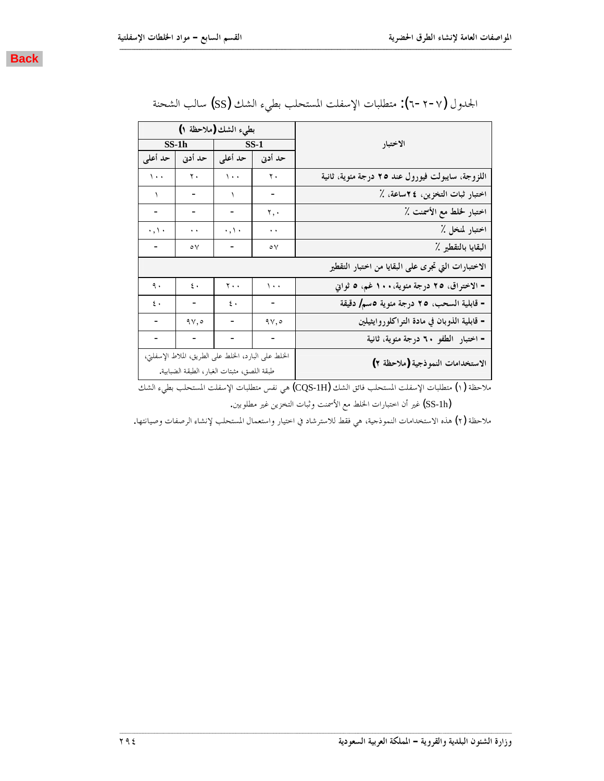

|                                                    |                      | بطىء الشك (ملاحظة ١)                                                                                |                      |                     |  |  |  |  |  |  |
|----------------------------------------------------|----------------------|-----------------------------------------------------------------------------------------------------|----------------------|---------------------|--|--|--|--|--|--|
| الاختبار                                           |                      | $\overline{\phantom{1}}$ SS-1                                                                       | $SS-1h$              |                     |  |  |  |  |  |  |
|                                                    | حد أدنى              | حد أعلى                                                                                             | حد أدنى              | حد أعلى             |  |  |  |  |  |  |
| اللزوجة، سايبولت فيورول عند ٢٥ درجة مئوية، ثانية   | $\mathbf{y}$ .       | $\bar{\mathcal{N}}$ .                                                                               | $\mathbf r$ .        | $\sqrt{1 + 1}$      |  |  |  |  |  |  |
| اختبار ثبات التخزين، ٢٤ساعة، ٪                     | -                    | ١                                                                                                   | -                    | $\lambda$           |  |  |  |  |  |  |
| اختبار لخلط مع الأسمنت ٪                           | ۲,٠                  |                                                                                                     |                      |                     |  |  |  |  |  |  |
| اختبار لمنخل ٪                                     | $\ddot{\phantom{1}}$ | $\cdot$ , \ $\cdot$                                                                                 | $\ddot{\phantom{1}}$ | $\cdot$ , \ $\cdot$ |  |  |  |  |  |  |
| البقايا بالتقطير ٪                                 | $\circ \vee$         |                                                                                                     | $\circ \vee$         |                     |  |  |  |  |  |  |
| الاختبارات التي تجرى على البقايا من اختبار التقطير |                      |                                                                                                     |                      |                     |  |  |  |  |  |  |
| - الاختراق، ٢٥ درجة مئوية،١٠٠ غم، ٥ ثواني          | $\sqrt{1 + 4}$       | $\mathbf{r}$ .                                                                                      | $\mathbf{\hat{z}}$ . | ٩.                  |  |  |  |  |  |  |
| - قابلية السحب، ٢٥ درجة مئوية ٥سم/ دقيقة           |                      | $\mathbf{\xi}$ .                                                                                    |                      | $\epsilon$ .        |  |  |  |  |  |  |
| – قابلية الذوبان في مادة التراكلوروايثيلين         | 9Y,0                 |                                                                                                     | $9\vee, \circ$       |                     |  |  |  |  |  |  |
| - اختبار الطفو ٦٠ درجة مئوية، ثانية                |                      |                                                                                                     |                      |                     |  |  |  |  |  |  |
| الاستخدامات النموذجية (ملاحظة ٢)                   |                      | الخلط على البارد، الخلط على الطريق، الملاط الإسفلتي،<br>طبقة اللصق، مثبتات الغبار، الطبقة الضبابية. |                      |                     |  |  |  |  |  |  |

| الجدول (٧-٢-٦): متطلبات الإسفلت المستحلب بطيء الشك (SS) سالب الشحنة |  |  |  |  |  |  |  |  |  |  |  |
|---------------------------------------------------------------------|--|--|--|--|--|--|--|--|--|--|--|
|---------------------------------------------------------------------|--|--|--|--|--|--|--|--|--|--|--|

ملاحظة (١) متطلبات الإسفلت المستحلب فائق الشك (CQS-1H) هي نفس متطلبات الإسفلت المستحلب بطيء الشك

نفير أن اختبارات الخلط مع الأسمنت وثبات التخزين غير مطلوبين. ﴿

ملاحظة (٢) هذه الاستخدامات النموذجية، هي فقط للاسترشاد في احتيار واستعمال المستحلب لإنشاء الرصفات وصيانتها.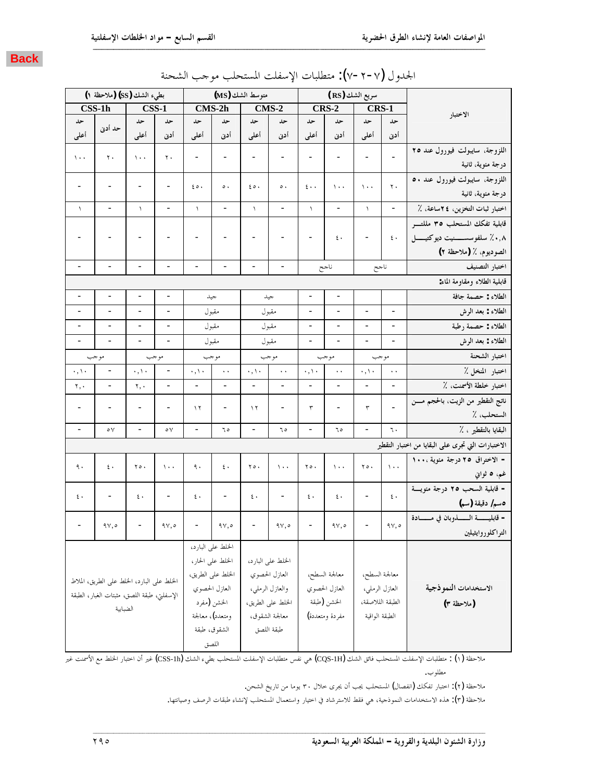|                          | بطىء الشك (SS) (ملاحظة ١)                   |                          |                                                                     |                               | متوسط الشك (MS)              |                          |                                                                     |                              | سريع الشك (RS)                                                      |                          |                          |                                                    |
|--------------------------|---------------------------------------------|--------------------------|---------------------------------------------------------------------|-------------------------------|------------------------------|--------------------------|---------------------------------------------------------------------|------------------------------|---------------------------------------------------------------------|--------------------------|--------------------------|----------------------------------------------------|
|                          | $\overline{\text{CSS-1h}}$                  |                          | $CSS-1$                                                             |                               | CMS-2h                       |                          | $CMS-2$                                                             |                              | <b>CRS-2</b>                                                        | CRS-1                    |                          |                                                    |
| حد                       |                                             | حد                       | حد                                                                  | حد                            | حد                           | حد                       | حد                                                                  | حد                           | حد                                                                  | حد                       | حد                       | الاختبار                                           |
| أعلى                     | حد أدنى                                     | أعلى                     | أدن                                                                 | أعلى                          | أدنى                         | أعلى                     | أدن                                                                 | أعلى                         | أدن                                                                 | أعلى                     | أدنى                     |                                                    |
| $\langle \cdot \rangle$  | $\mathbf{r}$ .                              | $\lambda$ .              | $\mathbf r$ .                                                       | $\overline{\phantom{a}}$      | $\overline{\phantom{a}}$     |                          | $\overline{a}$                                                      | $\overline{\phantom{m}}$     |                                                                     | $\overline{\phantom{a}}$ |                          | اللزوجة، سايبولت فيورول عند ٢٥                     |
|                          |                                             |                          |                                                                     |                               |                              |                          |                                                                     |                              |                                                                     |                          |                          | درجة مئوية، ثانية                                  |
| -                        |                                             |                          |                                                                     | $\epsilon \circ \cdot$        | $\circ$ .                    | $\epsilon \circ \cdot$   | $\circ$ .                                                           | $\epsilon \cdot \cdot$       | $\cdots$                                                            | $\lambda$ .              | ٢.                       | اللزوجة، سايبولت فيورول عند ٥٠                     |
|                          |                                             |                          |                                                                     |                               |                              |                          |                                                                     |                              |                                                                     |                          |                          | درجة مئوية، ثانية                                  |
| $\backslash$             |                                             | $\lambda$                | $\overline{\phantom{0}}$                                            | $\backslash$                  | $\qquad \qquad \blacksquare$ | $\lambda$                | $\overline{\phantom{0}}$                                            | $\backslash$                 | $\qquad \qquad -$                                                   | $\lambda$                | $\overline{\phantom{a}}$ | اختبار ثبات التخزين، ٢٤ساعة، ٪                     |
|                          |                                             |                          |                                                                     |                               |                              |                          |                                                                     |                              |                                                                     |                          |                          | قابلية تفكك المستحلب ٣٥ مللتــــــــر              |
|                          |                                             |                          |                                                                     |                               |                              |                          |                                                                     |                              | $\mathfrak{c}$ .                                                    |                          | $\mathfrak{c}$ .         | ۰٫۸٪ سلفوسســــــنيت ديوكتيـــــــل                |
|                          |                                             |                          |                                                                     |                               |                              |                          |                                                                     |                              |                                                                     |                          |                          | الصوديوم، ٪ (ملاحظة ٢)                             |
|                          |                                             |                          |                                                                     |                               |                              |                          |                                                                     |                              | ناجح                                                                | ناجح                     |                          | اختبار التصنيف                                     |
|                          |                                             |                          |                                                                     |                               |                              |                          |                                                                     |                              |                                                                     |                          |                          | قابلية الطلاء ومقاومة الماء:                       |
|                          |                                             |                          |                                                                     |                               | جيد                          |                          | جيد                                                                 | $\overline{a}$               |                                                                     |                          |                          | الطلاء : حصمة جافة                                 |
| $\overline{\phantom{a}}$ | $\overline{\phantom{a}}$                    | $\overline{\phantom{a}}$ | $\blacksquare$                                                      |                               | مقبول                        |                          | مقبول                                                               | $\overline{\phantom{m}}$     | $\overline{\phantom{a}}$                                            | $\overline{\phantom{a}}$ | $\overline{\phantom{a}}$ | الطلاء : بعد الرش                                  |
|                          |                                             |                          |                                                                     |                               | مقبول                        |                          | مقبول                                                               | -                            |                                                                     |                          |                          | الطلاء : حصمة رطبة                                 |
| $\overline{\phantom{a}}$ | $\overline{\phantom{a}}$                    | $\overline{\phantom{a}}$ | $\overline{a}$                                                      |                               | مقبول                        |                          | مقبول                                                               | $\qquad \qquad \blacksquare$ | $\overline{\phantom{0}}$                                            | $\overline{\phantom{m}}$ | $\overline{\phantom{0}}$ | الطلاء : بعد الرش                                  |
| موجب                     |                                             | موجب                     |                                                                     | موجب                          |                              |                          | موجب                                                                |                              | موجب                                                                | موجب                     |                          | اختبار الشحنة                                      |
| $\cdot$ , $\backslash$ . | $\overline{\phantom{a}}$                    | $\cdot$ , \ $\cdot$      | $\qquad \qquad -$                                                   | $\cdot$ , $\setminus$ $\cdot$ | $\ddot{\phantom{1}}$         | $\cdot$ , \ $\cdot$      | $\ddot{\phantom{a}}$                                                | $\cdot$ , \ $\cdot$          | ٠,                                                                  | $\cdot$ , \ $\cdot$      | $\ddot{\phantom{1}}$     | اختبار المنخل ٪                                    |
| ۲,۰                      | $\overline{\phantom{0}}$                    | ۲,۰                      |                                                                     |                               |                              |                          |                                                                     | $\overline{\phantom{0}}$     | $\overline{\phantom{0}}$                                            |                          | $\overline{\phantom{0}}$ | اختبار خلطة الأسمنت، ٪                             |
|                          |                                             |                          |                                                                     | ۱۲                            |                              | $\gamma$                 |                                                                     | ٣                            |                                                                     | ٣                        |                          | ناتج التقطير من الزيت، بالحجم مسن                  |
|                          |                                             |                          |                                                                     |                               |                              |                          |                                                                     |                              |                                                                     |                          |                          | الستحلب، ٪                                         |
| $\overline{\phantom{a}}$ | $\circ \vee$                                | $\overline{\phantom{a}}$ | $\circ \vee$                                                        | $\overline{\phantom{a}}$      | ٦٥                           | $\overline{\phantom{a}}$ | ٥ ٦                                                                 | $\overline{\phantom{m}}$     | ٦٥                                                                  | $\overline{\phantom{a}}$ | ٦.                       | البقايا بالتقطير ، ٪                               |
|                          |                                             |                          |                                                                     |                               |                              |                          |                                                                     |                              |                                                                     |                          |                          | الاختبارات التي تجرى على البقايا من اختبار التقطير |
| ٩.                       | $\epsilon$ .                                | ٢٥.                      | $\lambda$ .                                                         | ٩.                            | $\epsilon$ .                 | $Y \circ \cdot$          | $\lambda$ .                                                         | $Y \circ \cdot$              | $\lambda$ .                                                         | $Y \circ \cdot$          | $\chi$                   | - الاختراق ٢٥ درجة مئوية ،١٠٠                      |
|                          |                                             |                          |                                                                     |                               |                              |                          |                                                                     |                              |                                                                     |                          |                          | غم، ٥ ثواني                                        |
| $\mathfrak{c}$ .         |                                             | $\mathfrak{c}$ .         | $\qquad \qquad \blacksquare$                                        | $\mathbf{\mathsf{t}}$ .       | $\qquad \qquad -$            | $\epsilon$ .             | $\overline{\phantom{0}}$                                            | $\mathfrak{c}$ .             | $\mathfrak{c}$ .                                                    | $\overline{\phantom{a}}$ | $\mathfrak{c}$ .         | - قابلية السحب ٢٥ درجة مئويسة                      |
|                          |                                             |                          |                                                                     |                               |                              |                          |                                                                     |                              |                                                                     |                          |                          | ەسم/ دقيقة (سم)                                    |
|                          | 94,0                                        |                          | $\mathop{}\!\mathsf{q}\mathop{}\!\mathsf{v}, \mathop{}\!\mathsf{o}$ |                               | ۹۷,٥                         |                          | $\mathop{}\!\mathsf{q}\mathop{}\!\mathsf{v}, \mathop{}\!\mathsf{o}$ |                              | $\mathop{}\!\mathsf{q}\mathop{}\!\mathsf{v}, \mathop{}\!\mathsf{o}$ |                          | ۹۷,٥                     | - قابليــــــــــــة الـــــــــــــــــادة        |
|                          |                                             |                          |                                                                     |                               |                              |                          |                                                                     |                              |                                                                     |                          |                          | التراكلوروايثيلين                                  |
|                          |                                             |                          |                                                                     |                               | الخلط على البارد،            |                          |                                                                     |                              |                                                                     |                          |                          |                                                    |
|                          |                                             |                          |                                                                     |                               | الخلط على الحار،             |                          | الخلط على البارد،                                                   |                              |                                                                     |                          |                          |                                                    |
|                          | الخلط على البارد، الخلط على الطريق، الملاط  |                          |                                                                     |                               | الخلط على الطريق،            |                          | العازل الحصوي                                                       |                              | معالجة السطح،                                                       | معالجة السطح،            |                          |                                                    |
|                          | الإسفلتي، طبقة اللصق، مثبتات الغبار، الطبقة |                          |                                                                     |                               | العازل الحصوي                |                          | والعازل الرملي،                                                     |                              | العازل الحصوي                                                       | العازل الرملي،           |                          | الاستخدامات النموذجية                              |
|                          | الضبابية                                    |                          |                                                                     |                               | الخشن (مفرد                  |                          | الخلط على الطريق،                                                   |                              | الخشن (طبقة                                                         | الطبقة الللاصقة،         |                          | (ملاحظة ٣)                                         |
|                          |                                             |                          |                                                                     |                               | ومتعدد)، معالجة              |                          | معالجة الشقوق،                                                      |                              | مفردة ومتعددة)                                                      | الطبقة الواقية           |                          |                                                    |
|                          |                                             |                          |                                                                     |                               | الشقوق، طبقة                 |                          | طبقة اللصق                                                          |                              |                                                                     |                          |                          |                                                    |
|                          |                                             |                          |                                                                     |                               | اللصق                        |                          |                                                                     |                              |                                                                     |                          |                          |                                                    |

| الجدول (٧−٢−٧): متطلبات الإسفلت المستحلب موحب الشحنة |  |
|------------------------------------------------------|--|
|------------------------------------------------------|--|

ملاحظة (١) : متطلبات الإسفلت المستحلب فائق الشك (CQS-IH) هي نفس متطلبات الإسفلت المستحلب بطيء الشك (CSS-1h) غير أن اختبار الخلط مع الأسمنت غير مطلوب.

 $\blacksquare$ 

ملاحظة (٢): اختبار تفكك (انفصال) المستحلب يجب أن يجرى خلال ٣٠ يوما من تاريخ الشحن.

ملاحظة (٣): هذه الاستخدامات النموذجية، هي فقط للاسترشاد في اختيار واستعمال المستحلب لإنشاء طبقات الرصف وصيانتها.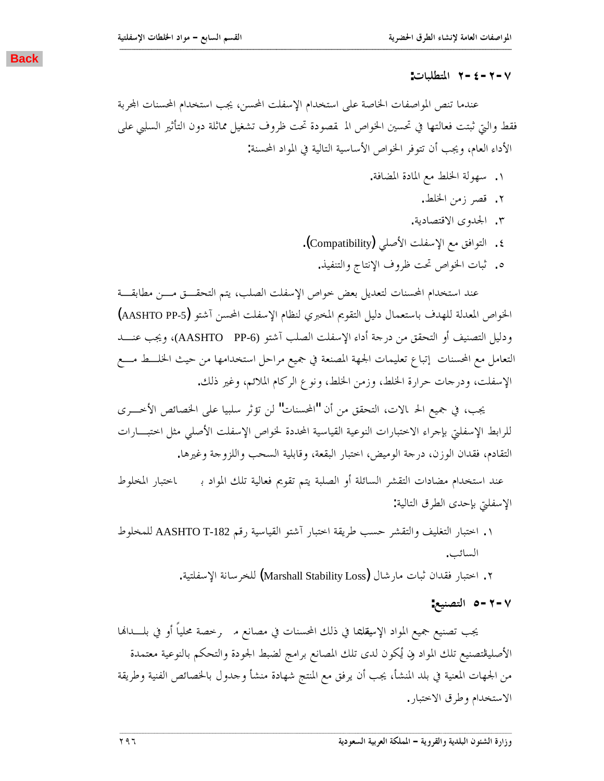#### **:ƩƢƦǴǘƬŭơ Ï-Ñ-Ï-Ô**

عندما تنص المواصفات الخاصة على استخدام الإسفلت المحسن، يجب استخدام المحسنات المحربة فقط والتي ثبتت فعالتها في تحسين الخواص الم قصودة تحت ظروف تشغيل مماثلة دون التأثير السلبي على الأداء العام، ويجب أن تتوفر الخواص الأساسية التالية في المواد المحسنة:

<span id="page-15-0"></span>**ººººººººººººººººººººººººººººººººººººººººººººººººººººººººººººººººººººººººººººººººººººººººººººººººººººººººººººººººººººººººººººººººººººººº**

- ١. سهولة الخلط مع المادة المضافة.
	- .ǖǴŬơǺǷǃǂǐǫ .Ï
	- .ƨȇƽƢǐƬǫȏơȃȁƾŪơ .Ð
- ٤. التوافق مع الإسفلت الأصلي (Compatibility).
	- ه. ثبات الخواص تحت ظروف الإنتاج والتنفيذ.

عند استخدام المحسنات لتعديل بعض خواص الإسفلت الصلب، يتم التحقـــق مـــن مطابقـــة الخواص المعدلة للهدف باستعمال دليل التقويم المخبري لنظام الإسفلت المحسن آشتو (AASHTO PP-5) ودليل التصنيف أو التحقق من درجة أداء الإسفلت الصلب آشتو (AASHTO PP-6)، ويجب عنـــد التعامل مع المحسنات إتباع تعليمات الجهة المصنعة في جميع مراحل استخدامها من حيث الخلسط مسع الإسفلت، ودرجات حرارة الخلط، وزمن الخلط، ونوع الركام الملائم، وغير ذلك.

يجب، في جميع الح الات، التحقق من أن "المحسنات" لن تؤثر سلبيا على الخصائص الأخـــرى للرابط الإسفلتي بإحراء الاختبارات النوعية القياسية المحددة لخواص الإسفلت الأصلى مثل اختبـــارات التقادم، فقدان الوزن، درجة الوميض، اختبار البقعة، وقابلية السحب واللزوجة وغيرها.

عند استخدام مضادات التقشر السائلة أو الصلبة يتم تقويم فعالية تلك المواد بـ احتبار المخلوط الإسفلتي بإحدى الطرق التالية:

- ۱. اختبار التغليف والتقشر حسب طريقة اختبار آشتو القياسية رقم AASHTO T-182 للمخلوط السائب.
	- .ƨȈƬǴǨLJȍơƨǻƢLJǂƼǴdz (Marshall Stability Loss) DZƢNjǁƢǷƩƢƦƯǹơƾǬǧ ǁƢƦƬƻơ .Ï

**:ǞȈǼǐƬdzơ Ò-Ï-Ô**

يجب تصنيع جميع المواد الإسقلتما في ذلك المحسنات في مصانع م $\;$  رخصة محلياً أو في بلــــدالها الأصليقتصنيع تلك المواد ون يُكون لدى تلك المصانع برامج لضبط الجودة والتحكم بالنوعية معتمدة من الجهات المعنية في بلد المنشأ، يجب أن يرفق مع المنتج شهادة منشأ وحدول بالخصائص الفنية وطريقة الاستخدام وطرق الاختبار .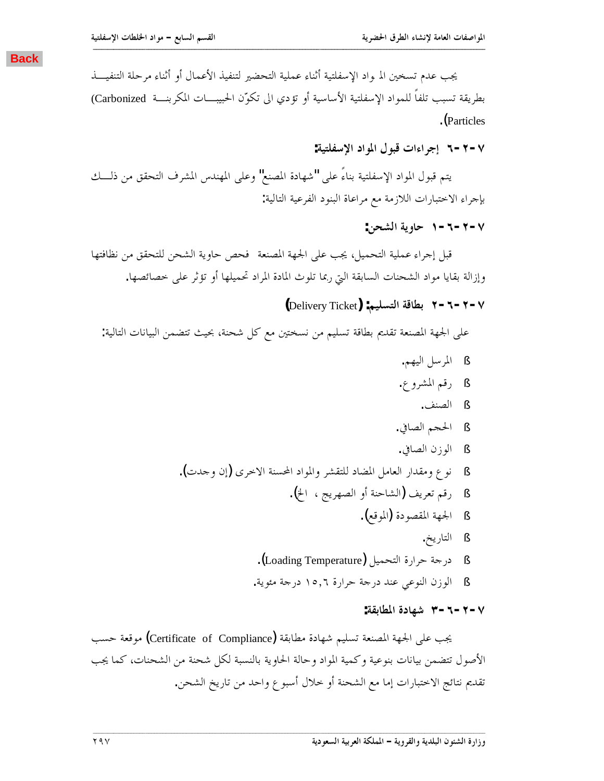<span id="page-16-0"></span>يجب عدم تسخين الم واد الإسفلتية أثناء عملية التحضير لتنفيذ الأعمال أو أثناء مرحلة التنفيـــذ بطريقة تسبب تلفاً للمواد الإسفلتية الأساسية أو تؤدي الى تكوّن الحبيبـــات المكربنـــة Carbonized) .(Particles

**ººººººººººººººººººººººººººººººººººººººººººººººººººººººººººººººººººººººººººººººººººººººººººººººººººººººººººººººººººººººººººººººººººººººº**

**:ƨȈƬǴǨLJȍơƽơȂŭơDZȂƦǫƩơƔơǂƳƛ Ó-Ï-Ô**

يتم قبول المواد الإسفلتية بناءً على "شهادة المصنع" وعلى المهندس المشرف التحقق من ذلـــك بإجراء الاختبارات اللازمة مع مراعاة البنود الفرعية التالية:

**:ǺƸnjdzơƨȇȁƢƷ Î-Ó-Ï-Ô**

قبل إجراء عملية التحميل، يجب على الجهة المصنعة فحص حاوية الشحن للتحقق من نظافتها وإزالة بقايا مواد الشحنات السابقة التي ربما تلوث المادة المراد تحميلها أو تؤثر على خصائصها.

### **(**Delivery Ticket**) :ǶȈǴLjƬdzơƨǫƢǘƥ Ï-Ó-Ï-Ô**

على الجهة المصنعة تقديم بطاقة تسليم من نسختين مع كل شحنة، بحيث تتضمن البيانات التالية:

§ المرسل اليهم. § رقم المشروع. § الصنف. § الحجم الصافي. § الوزن الصافي. .(ƩƾƳȁǹƛ)ȃǂƻȏơƨǼLjƄơƽơȂŭơȁǂnjǬƬǴdz ƽƢǔŭơDzǷƢǠdzơǁơƾǬǷȁǝȂǻ § § رقم تعريف (الشاحنة أو الصهريج ، الخ). § الجحهة المقصودة (الموقع). § التاريخ. § درجة حرارة التحميل (Loading Temperature). § الوزن النوعي عند درجة حرارة ١٥,٦ درجة مئوية.

#### **:ƨǬƥƢǘŭơƧƽƢȀNj Ð-Ó-Ï-Ô**

يجب على الجحهة المصنعة تسليم شهادة مطابقة (Certificate of Compliance) موقعة حسب الأصول تتضمن بيانات بنوعية وكمية المواد وحالة الحاوية بالنسبة لكل شحنة من الشحنات، كما يجب تقديم نتائج الاختبارات إما مع الشحنة أو خلال أسبو ع واحد من تاريخ الشحن.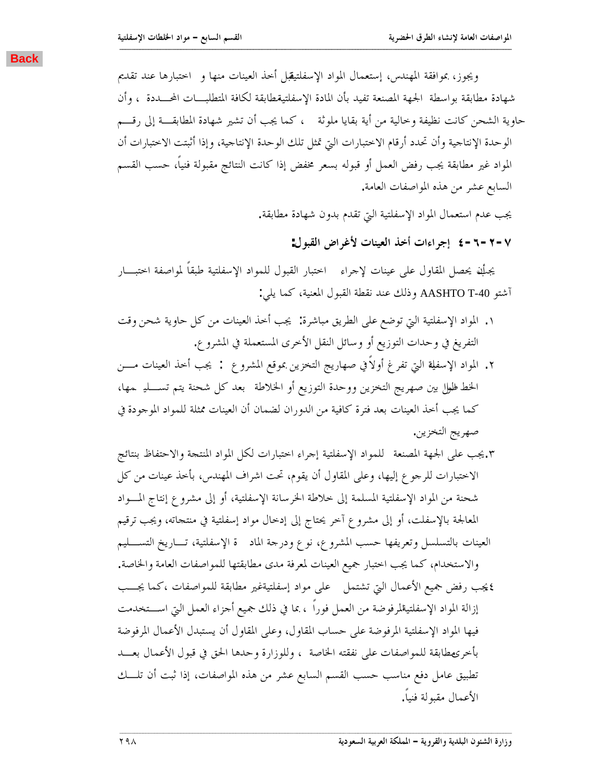<span id="page-17-0"></span>ويجوز، بموافقة المهندس، إستعمال المواد الإسفلتيقبل أحذ العينات منها و احتبارها عند تقديم شهادة مطابقة بواسطة الجهة المصنعة تفيد بأن المادة الإسفلتيةطابقة لكافة المتطلبـــات المحـــددة ، وأن حاوية الشحن كانت نظيفة وحالية من أية بقايا ملوثة ، كما يجب أن تشير شهادة المطابقـــة إلى رقـــم الوحدة الإنتاجية وأن تحدد أرقام الاختبارات البت تمثل تلك الوحدة الإنتاجية، وإذا أثبتت الاختبارات أن المواد غير مطابقة يجب رفض العمل أو قبوله بسعر مخفض إذا كانت النتائج مقبولة فنياً، حسب القسم السابع عشر من هذه المواصفات العامة.

**ººººººººººººººººººººººººººººººººººººººººººººººººººººººººººººººººººººººººººººººººººººººººººººººººººººººººººººººººººººººººººººººººººººººº**

يجب عدم استعمال المواد الإسفلتية التي تقدم بدون شهادة مطابقة.

**:DZȂƦǬdzơǑơǂǣȋƩƢǼȈǠdzơǀƻƗƩơƔơǂƳƛ Ñ-Ó-Ï-Ô**

يجلِّف يحصل المقاول على عينات لإحراء اختبار القبول للمواد الإسفلتية طبقاً لمواصفة اختبـــار :ȆǴȇƢǸǯƨȈǼǠŭơDZȂƦǬdzơƨǘǬǻƾǼǟǮdzƿȁ AASHTO T-40 ȂƬNjƕ

- ٠. المواد الإسفلتية التي توضع على الطريق مباشرة: يجب أخذ العينات من كل حاوية شحن وقت التفريغ في وحدات التوزيع أو وسائل النقل الأخرى المستعملة في المشرو ع.
- ٢. المواد الإسفلة التي تفرغ أولاً في صهاريج التخزين بموقع المشروع : يجب أخذ العينات مــــن الخط طلول بين صهريج التخزين ووحدة التوزيع أو الخلاطة بعد كل شحنة يتم تســـليـ ـمها، كما يجب أخذ العينات بعد فترة كافية من الدوران لضمان أن العينات ممثلة للمواد الموحودة في صهريج التخزين.
- ƲƟƢƬǼƥǙƢǨƬƷȏơȁƨƴƬǼŭơƽơȂŭơDzǰdzƩơǁƢƦƬƻơ ƔơǂƳƛ ƨȈƬǴǨLJȍơ ƽơȂǸǴdz ƨǠǼǐŭơƨȀŪơȄǴǟƤŸ.Ð الاختبارات للرجوع إليها، وعلى المقاول أن يقوم، تحت اشراف المهندس، بأخذ عينات من كل شحنة من المواد الإسفلتية المسلمة إلى خلاطة الخرسانة الإسفلتية، أو إلى مشروع إنتاج المسواد المعالجة بالإسفلت، أو إلى مشروع آخر يحتاج إلى إدخال مواد إسفلتية في منتجاته، ويجب ترقيم العينات بالتسلسل وتعريفها حسب المشروع، نوع ودرحة الماد قق الإسفلتية، تـــاريخ التســــليم والاستخدام، كما يجب اختبار جميع العينات لمعرفة مدى مطابقتها للمواصفات العامة والخاصة. \$يجب رفض جميع الأعمال التي تشتمل على مواد إسفلتيةغير مطابقة للمواصفات ،كما يجـــب إزالة المواد الإسفلتيةلمرفوضة من العمل فوراً ، بما في ذلك جميع أجزاء العمل التي اســـتخدمت فيها المواد الإسفلتية المرفوضة على حساب المقاول، وعلى المقاول أن يستبدل الأعمال المرفوضة بأخرىطابقة للمواصفات على نفقته الخاصة ، وللوزارة وحدها الحق في قبول الأعمال بعـــد تطبيق عامل دفع مناسب حسب القسم السابع عشر من هذه المواصفات، إذا ثبت أن تلــك الأعمال مقبولة فنباً.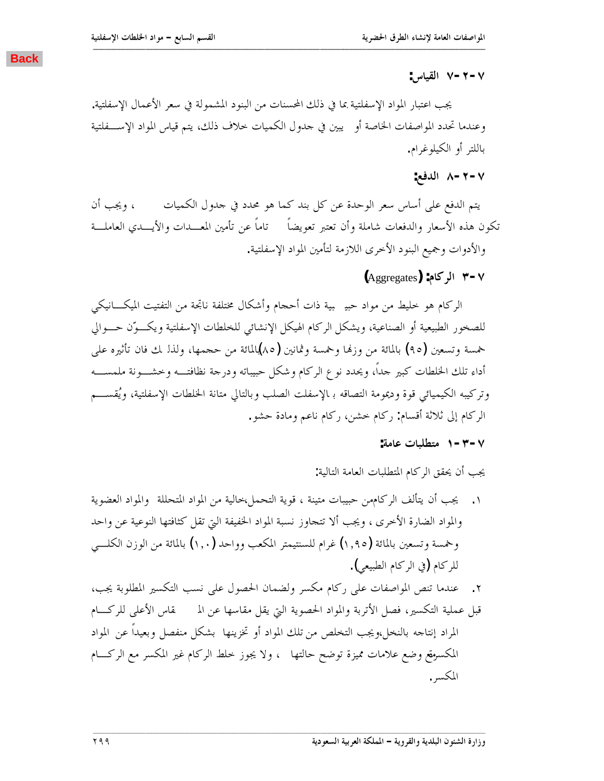**:DžƢȈǬdzơ Ô-Ï-Ô**

يجب اعتبار المواد الإسفلتية بما في ذلك المحسنات من البنود المشمولة في سعر الأعمال الإسفلتية. وعندما تحدد المواصفات الحاصة أو ً يبين في حدول الكميات خلاف ذلك، يتم قياس المواد الإســـفلتية باللتر أو الكيلوغرام.

<span id="page-18-0"></span>**ººººººººººººººººººººººººººººººººººººººººººººººººººººººººººººººººººººººººººººººººººººººººººººººººººººººººººººººººººººººººººººººººººººººº**

### **:Ǟǧƾdzơ Õ-Ï-Ô**

يتم الدفع على أساس سعر الوحدة عن كل بند كما هو محدد في حدول الكميات ، ويجب أن تكون هذه الأسعار والدفعات شاملة وأن تعتبر تعويضاً تاماً عن تأمين المعـــدات والأيــــدي العاملـــة والأدوات وجميع البنود الأحرى اللازمة لتأمين المواد الإسفلتية.

**(**Aggregates**) :ǵƢǯǂdzơ Ð-Ô**

الركام هو خليط من مواد حبي بية ذات أحجام وأشكال مختلفة ناتجة من التفتيت الميكـــانيكي للصخور الطبيعية أو الصناعية، ويشكل الركام الهيكل الإنشائي للخلطات الإسفلتية ويكــوّن حـــوالي خمسة وتسعين (٩٥) بالمائة من وزنها وخمسة وثمانين (٨٥)لمائة من حجمها، ولذا لك فان تأثيره على أداء تلك الخلطات كبير حداً، ويحدد نوع الركام وشكل حبيباته ودرجة نظافتـــه وخشـــونة ملمســـه وتركيبه الكيميائي قوة وديمومة التصاقه بالإسفلت الصلب وبالتالي متانة الخلطات الإسفلتية، ويُقســـم الركام إلى ثلاثة أقسام: ركام خشن، ركام ناعم ومادة حشو.

### **:ƨǷƢǟƩƢƦǴǘƬǷ Î-Ð-Ô**

يجب أن يحقق الركام المتطلبات العامة التالية:

١. يجب أن يتألف الركامهن حبيبات متينة ، قوية التحمل،خالية من المواد المتحللة والمواد العضوية والمواد الضارة الأخرى ، ويجب ألا تتحاوز نسبة المواد الخفيفة التي تقل كثافتها النوعية عن واحد وخمسة وتسعين بالمائة (١,٩٥) غرام للسنتيمتر المكعب وواحد (١,٠) بالمائة من الوزن الكلسي للركام (في الركام الطبيعي).

٢. عندما تنص المواصفات على ركام مكسر ولضمان الحصول على نسب التكسير المطلوبة يجب، قبل عملية التكسير، فصل الأتربة والمواد الحصوية التي يقل مقاسها عن الم قاس الأعلى للركـــام المراد إنتاجه بالنخل،ويجب التخلص من تلك المواد أو تخزينها بشكل منفصل وبعيداً عن المواد المكسوفع وضع علامات مميزة توضح حالتها ً ، ولا يجوز خلط الركام غير المكسر مع الركـــام المكسر.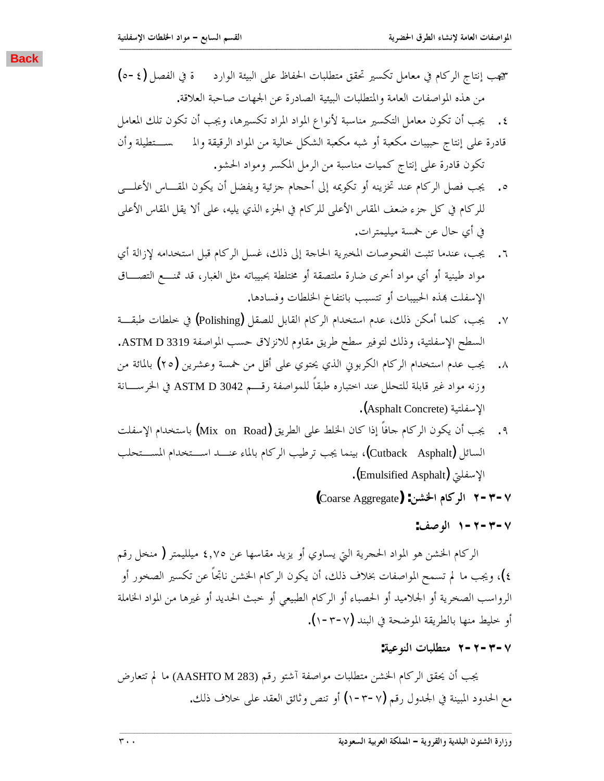<span id="page-19-0"></span>ميجب إنتاج الركام في معامل تكسير تحقق متطلبات الحفاظ على البيئة الوارد ة في الفصل (δ−ξ) من هذه المواصفات العامة والمتطلبات البيئية الصادرة عن الجهات صاحبة العلاقة.

**ººººººººººººººººººººººººººººººººººººººººººººººººººººººººººººººººººººººººººººººººººººººººººººººººººººººººººººººººººººººººººººººººººººººº**

- ٤. يجب أن تكون معامل التكسير مناسبة لأنواع المواد المراد تكسيرها، ويجب أن تكون تلك المعامل قادرة على إنتاج حبيبات مكعبة أو شبه مكعبة الشكل حالية من المواد الرقيقة والم مسستطيلة وأن تكون قادرة على إنتاج كميات مناسبة من الرمل المكسر ومواد الحشو.
- ه. يجب فصل الركام عند تخزينه أو تكويمه إلى أحجام جزئية ويفضل أن يكون المقـــاس الأعلـــي للركام في كل جزء ضعف المقاس الأعلى للركام في الجزء الذي يليه، على ألا يقل المقاس الأعلى في أي حال عن خمسة مبليمترات.
- ٦. يجب، عندما تثبت الفحوصات المخبرية الحاحة إلى ذلك، غسل الركام قبل استخدامه لإزالة أي مواد طينية أو أي مواد أخرى ضارة ملتصقة أو مختلطة بحبيباته مثل الغبار، قد تمنـــع التصــــاق الإسفلت بهذه الحبيبات أو تتسبب بانتفاخ الخلطات وفسادها.
- ƨºǬƦǗƩƢǘǴƻĿ (Polishing) DzǬǐǴdzDzƥƢǬdzơǵƢǯǂdzơǵơƾƼƬLJơǵƾǟǮdzƿ ǺǰǷƗƢǸǴǯƤŸ .Ô السطح الإسفلتية، وذلك لتوفير سطح طريق مقاوم للانزلاق حسب المواصفة ASTM D 3319.
- ٨. يجب عدم استخدام الركام الكربوني الذي يحتوي على أقل من خمسة وعشرين (٢٥) بالمائة من وزنه مواد غير قابلة للتحلل عند احتباره طبقاً للمواصفة رقــــم ASTM D 3042 في الخرســــانة .(Asphalt Concrete) الإسفلتية
- ٩. يجب أن يكون الركام جافاً إذا كان الخلط على الطريق (Mix on Road) باستخدام الإسفلت السائل (Cutback Asphalt)، بينما يجب ترطيب الركام بالماء عنـــد اســـتخدام المســتحلب الإسفليّ (Emulsified Asphalt).

**(**Coarse Aggregate**) :ǺnjŬơǵƢǯǂdzơ Ï-Ð-Ô**

### **:ǦǏȂdzơ Î-Ï-Ð-Ô**

الركام الخشن هو المواد الحجرية التي يساوي أو يزيد مقاسها عن ٤,٧٥ ميلليمتر ( منخل رقم ٤)، ويجب ما لم تسمح المواصفات بخلاف ذلك، أن يكون الركام الخشن ناتجاً عن تكسير الصخور أو الرواسب الصخرية أو الجلاميد أو الحصباء أو الركام الطبيعي أو حبث الحديد أو غيرها من المواد الخاملة أو خليط منها بالطريقة الموضحة في البند (٧-٣-١).

**:ƨȈǟȂǼdzơƩƢƦǴǘƬǷ Ï-Ï-Ð-Ô**

يجب أن يحقق الركام الخشن متطلبات مواصفة آشتو رقم (AASHTO M 283) ما لم تتعارض مع الحدود المبينة في الجدول رقم (٧-٣-١) أو تنص وثائق العقد على حلاف ذلك.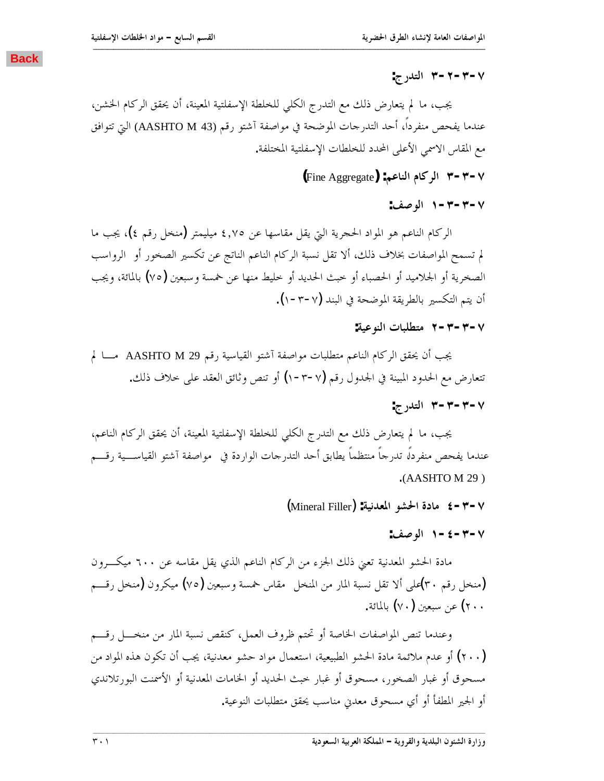يجب، ما لم يتعارض ذلك مع التدرج الكلي للخلطة الإسفلتية المعينة، أن يحقق الركام الخشن، عندما يفحص منفرداً، أحد التدرجات الموضحة في مواصفة آشتو رقم (AASHTO M 43) التي تتوافق مع المقاس الاسمي الأعلى المحدد للخلطات الإسفلتية المختلفة.

<span id="page-20-0"></span>**ººººººººººººººººººººººººººººººººººººººººººººººººººººººººººººººººººººººººººººººººººººººººººººººººººººººººººººººººººººººººººººººººººººººº**

**(**Fine Aggregate**) :ǶǟƢǼdzơǵƢǯǂdzơ Ð-Ð-Ô**

**:ǦǏȂdzơ Î-Ð-Ð-Ô**

الركام الناعم هو المواد الحجرية التي يقل مقاسها عن ٤,٧٥ ميليمتر (منخل رقم ٤)، يجب ما لم تسمح المواصفات بخلاف ذلك، ألا تقل نسبة الركام الناعم الناتج عن تكسير الصخور أو الرواسب الصخرية أو الجلاميد أو الحصباء أو خبث الحديد أو حليط منها عن خمسة وسبعين (٧٥) بالمائة، ويجب أن يتم التكسير بالطريقة الموضحة في البند (٧-٣-١).

### **:ƨȈǟȂǼdzơƩƢƦǴǘƬǷ Ï-Ð-Ð-Ô**

يجب أن يحقق الركام الناعم متطلبات مواصفة آشتو القياسية رقم AASHTO M 29 مــــا لم تتعارض مع الحدود المبينة في الجدول رقم (√−٣-١) أو تنص وثائق العقد على حلاف ذلك.

**:ƱǁƾƬdzơ Ð-Ð-Ð-Ô**

يجب، ما لم يتعارض ذلك مع التدرج الكلي للخلطة الإسفلتية المعينة، أن يحقق الركام الناعم، عندما يفحص منفردلًا تدرجاً منتظماً يطابق أحد التدرجات الواردة في مواصفة آشتو القياســـية رقــــم .(AASHTO M 29 )

(Mineral Filler) **:ƨȈǻƾǠŭơȂnjūơƧƽƢǷ Ñ-Ð-Ô**

**:ǦǏȂdzơ Î-Ñ-Ð-Ô**

مادة الحشو المعدنية تعني ذلك الجزء من الركام الناعم الذي يقل مقاسه عن ٦٠٠ ميكـرون منخل رقم ٣٠)على ألا تقل نسبة المار من المنخل مقاس خمسة وسبعين (٧٥) ميكرون (منخل رقـــم) .ƨƟƢŭƢƥ (ÔÍ)śǠƦLJǺǟ (ÏÍÍ

وعندما تنص المواصفات الخاصة أو تحتم ظروف العمل، كنقص نسبة المار من منخـــل رقــــم (٢٠٠) أو عدم ملائمة مادة الحشو الطبيعية، استعمال مواد حشو معدنية، يجب أن تكون هذه المواد من مسحوق أو غبار الصخور، مسحوق أو غبار خبث الحديد أو الخامات المعدنية أو الأسمنت البورتلاندي أو الجحير المطفأ أو أي مسحوق معدني مناسب يحقق متطلبات النوعية.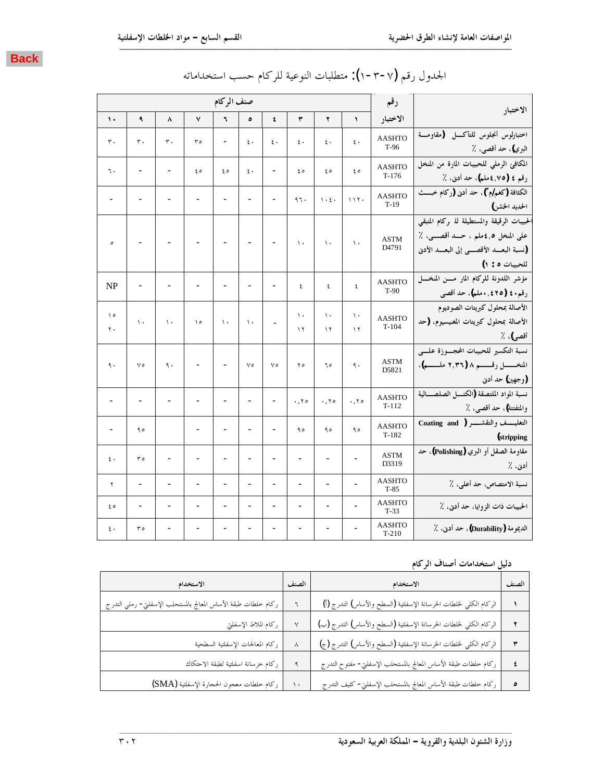

| الاختبار                                                                | رقم                      |                     |                                        |                          |                              |                          | صنف الركام               |                          |                          |                |                   |
|-------------------------------------------------------------------------|--------------------------|---------------------|----------------------------------------|--------------------------|------------------------------|--------------------------|--------------------------|--------------------------|--------------------------|----------------|-------------------|
|                                                                         | الاختبار                 | $\lambda$           | ۲                                      | ٣                        | ٤                            | ٥                        | ٦                        | ٧                        | ٨                        | ٩              | $\mathbf{\hat{}}$ |
| اختبارلوس أنجلوس للتآكسل (مقاومسة                                       | <b>AASHTO</b>            | $\mathfrak{c}$ .    | $\mathfrak{c}$ .                       | $\epsilon$ .             | $\epsilon$ .                 | $\epsilon$ .             |                          | ۳٥                       | ٣.                       | ٣.             | ٣.                |
| البري)، حد أقصى، ٪                                                      | $T-96$                   |                     |                                        |                          |                              |                          |                          |                          |                          |                |                   |
| المكافئ الرملي للحبيبات المارة من المنخل<br>رقم ٤ (٧٥,٤ملم)، حد أدنى، ٪ | <b>AASHTO</b><br>$T-176$ | ه ٤                 | ه ٤                                    | ه ٤                      | $\overline{\phantom{0}}$     | ٤.                       | ه ٤                      | ه ٤                      |                          | -              | ٦.                |
| الكثافة (كغم/م")، حد أدبى (ركام خبـــث                                  | <b>AASHTO</b>            |                     |                                        |                          |                              |                          |                          |                          |                          |                |                   |
| الحديد الحشن)                                                           | $T-19$                   | 117.                | $\big\backslash\cdot\mathcal{E}\big\}$ | ٩٦.                      |                              |                          |                          |                          |                          |                |                   |
| لحبيبات الرقيقة والمستطيلة لله ركام المتبقى                             |                          |                     |                                        |                          |                              |                          |                          |                          |                          |                |                   |
| على المنخل ٤,٥ملم ، حــد أقصـــي، ٪                                     | <b>ASTM</b>              | $\mathcal{N}$       | $\mathcal{N}$                          | $\lambda$                |                              | $\overline{\phantom{0}}$ |                          |                          |                          |                | $\circ$           |
| (نسبة البعـــد الأقصــــى إلى البعـــد الأدنى                           | D4791                    |                     |                                        |                          |                              |                          |                          |                          |                          |                |                   |
| للحبيبات ٥ : ١)                                                         |                          |                     |                                        |                          |                              |                          |                          |                          |                          |                |                   |
| مؤشر اللدونة للركام المار مسن المنخسل                                   | <b>AASHTO</b><br>$T-90$  | ٤                   | ٤                                      | ٤                        | $\overline{a}$               |                          |                          |                          |                          |                | NP                |
| رقم٤٠ (٢٥٥ ٠,٤٢٥)، حد أقصى                                              |                          |                     |                                        |                          |                              |                          |                          |                          |                          |                |                   |
| الأصالة بمحلول كبريتات الصوديوم                                         | <b>AASHTO</b>            | $\mathcal{N}$       | $\mathcal{N}$                          | $\mathcal{N}$            |                              |                          |                          |                          |                          |                | ه ۱               |
| الأصالة بمحلول كبريتات المغنيسيوم، (حد<br>أقصى)، ٪                      | $T-104$                  | $\lambda$           | $\gamma$                               | $\lambda$                | $\overline{\phantom{a}}$     | $\mathcal{N}$            | $\lambda$                | $\Delta$                 | $\lambda$                | $\mathcal{N}$  | ٢.                |
| نسبة التكسير للحبيبات المحسوزة علسى                                     |                          |                     |                                        |                          |                              |                          |                          |                          |                          |                |                   |
| المنخــــــــل رقــــــــم ٨ (٢,٣٦ ملـــــــم)،                         | <b>ASTM</b>              | ٩.                  | ٦٥                                     | $\mathbf{y}$             | $\vee$                       | $\vee$                   |                          |                          | ٩.                       | $\vee$         | ٩.                |
| (وجهين) حد أدنى                                                         | D5821                    |                     |                                        |                          |                              |                          |                          |                          |                          |                |                   |
| نسبة المواد الملتصقة (الكتسل الصلصسالية                                 | <b>AASHTO</b>            |                     |                                        |                          |                              |                          |                          |                          |                          |                |                   |
| والمتفتتة)، حد أقصى، ٪                                                  | $T-112$                  | $\cdot$ , $\cdot$ 0 | .70                                    | .70                      | $\qquad \qquad \blacksquare$ | $\overline{\phantom{0}}$ | $\overline{a}$           |                          | $\overline{a}$           | -              |                   |
| التغليــــف والتقشـــــر ( Coating and                                  | <b>AASHTO</b>            | ۹٥                  | ۹٥                                     | ۹٥                       | $\overline{a}$               | $\overline{a}$           | $\overline{\phantom{0}}$ | $\overline{\phantom{a}}$ |                          | ه ۹            |                   |
| (stripping)                                                             | $T-182$                  |                     |                                        |                          |                              |                          |                          |                          |                          |                |                   |
| مقاومة الصقل أو البري (Polishing)، حد                                   | <b>ASTM</b>              |                     |                                        |                          |                              | $\overline{a}$           | -                        |                          |                          | $r \circ$      | ٤.                |
| أدنى، ٪                                                                 | D3319                    |                     |                                        |                          |                              |                          |                          |                          |                          |                |                   |
| نسبة الامتصاص، حد أعلى، ٪                                               | <b>AASHTO</b><br>$T-85$  | $\overline{a}$      | $\overline{\phantom{m}}$               | $\overline{\phantom{a}}$ | $\frac{1}{2}$                | $\overline{a}$           | $\overline{\phantom{0}}$ | $\overline{\phantom{a}}$ | $\overline{\phantom{m}}$ | $\overline{a}$ | ۲                 |
| الحبيبات ذات الزوايا، حد أدنى، ٪                                        | <b>AASHTO</b><br>$T-33$  |                     | $\overline{\phantom{a}}$               | $\overline{a}$           | $\overline{a}$               | $\overline{a}$           | $\overline{a}$           |                          |                          |                | ه ٤               |
| الديمومة (Durability)، حد أدبي، ٪                                       | <b>AASHTO</b><br>$T-210$ |                     |                                        |                          |                              |                          |                          |                          |                          | ه ۳            | $\epsilon$ .      |

# الجدول رقم (٧–٣-١): متطلبات النوعية للركام حسب استخداماته

**ººººººººººººººººººººººººººººººººººººººººººººººººººººººººººººººººººººººººººººººººººººººººººººººººººººººººººººººººººººººººººººººººººººººº**

### دليل استخدامات أصناف الركام

| الاستخدام                                                      | الصنف | الاستخدام                                                            | الصنف |
|----------------------------------------------------------------|-------|----------------------------------------------------------------------|-------|
| ركام خلطات طبقة الأساس المعالج بالمستحلب الإسفلتي- رملي التدرج |       | الركام الكلي لخلطات الخرسانة الإسفلتية (السطح والأساس) التدرج (أ)    |       |
| ركام الملاط الإسفلتي                                           | ٧     | الركام الكلي لخلطات الخرسانة الإسفلتية (السطح والأساس) التدرج (ب)    |       |
| ركام المعالجات الإسفلتية السطحية                               | Λ     | الركام الكلي لخلطات الخرسانة الإسفلتية (السطح والأساس) التدرج (ج)    |       |
| ركام خرسانة اسفلتية لطبقة الاحتكاك                             | ٩     | .<br>ركام خلطات طبقة الأساس المعالج بالمستحلب الإسفلتي- مفتوح التدرج |       |
| ركام خلطات معجون الحجارة الإسفلتية (SMA)                       | ١.    | ركام حلطات طبقة الأساس المعالج بالمستحلب الإسفلتي− كثيف التدرج       |       |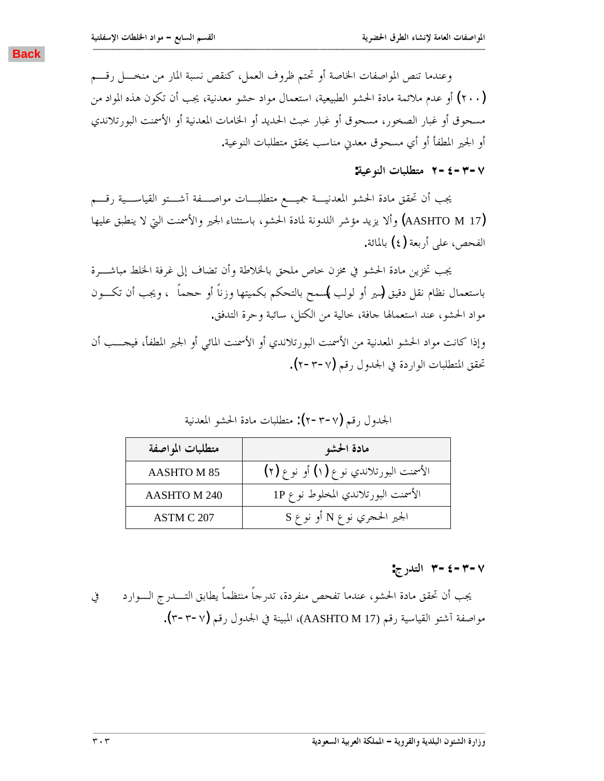<span id="page-22-0"></span>وعندما تنص المواصفات الخاصة أو تحتم ظروف العمل، كنقص نسبة المار من منخـــل رقـــم (٢٠٠) أو عدم ملائمة مادة الحشو الطبيعية، استعمال مواد حشو معدنية، يجب أن تكون هذه المواد من مسحوق أو غبار الصخور، مسحوق أو غبار حبث الحديد أو الخامات المعدنية أو الأسمنت البورتلاندي أو الجير المطفأ أو أي مسحوق معدني مناسب يحقق متطلبات النوعية.

**ººººººººººººººººººººººººººººººººººººººººººººººººººººººººººººººººººººººººººººººººººººººººººººººººººººººººººººººººººººººººººººººººººººººº**

**:ƨȈǟȂǼdzơƩƢƦǴǘƬǷ Ï-Ñ-Ð-Ô**

يجب أن تحقق مادة الحشو المعدنيـــة جميـــع متطلبــــات مواصــــفة آشـــتو القياســــية رقــــم وألا يزيد مؤشر اللدونة لمادة الحشو، باستثناء الجير والأسمنت التي لا ينطبق عليها) لم ينطبق عليها (AASHTO M 17 الفحص، علمي أربعة (٤) بالمائة.

يجب تخزين مادة الحشو في مخزن حاص ملحق بالخلاطة وأن تضاف إلى غرفة الحلط مباشـــرة باستعمال نظام نقل دقيق (سير أو لولب پلسمح بالتحكم بكميتها وزناً أو حجماً ، ويجب أن تكـــون مواد الحشو، عند استعمالها جافة، حالية من الكتل، سائبة وحرة التدفق.

وإذا كانت مواد الحشو المعدنية من الأسمنت البورتلاندي أو الأسمنت المائي أو الجير المطفأ، فيجـــب أن حْقق المتطلبات الواردة في الجدول رقم (٧-٣-٢).

الجحدول رقم (٢-٣-٢): متطلبات مادة الحشو المعدنية

| متطلبات المواصفة  | مادة الحشو                             |
|-------------------|----------------------------------------|
| <b>AASHTOM 85</b> | الأسمنت البورتلاندي نوع (١) أو نوع (٢) |
| AASHTO M 240      | الأسمنت البورتلاندي المخلوط نوع 1P     |
| ASTM C 207        | الجير الحجري نوع N أو نوع S            |

**:ƱǁƾƬdzơ Ð-Ñ-Ð-Ô**

يجب أن تحقق مادة الحشو، عندما تفحص منفردة، تدرجاً منتظماً يطابق التــــدرج الــــوارد مواصفة آشتو القياسية رقم (AASHTO M 17)، المبينة في الجدول رقم (٣-٣-٣).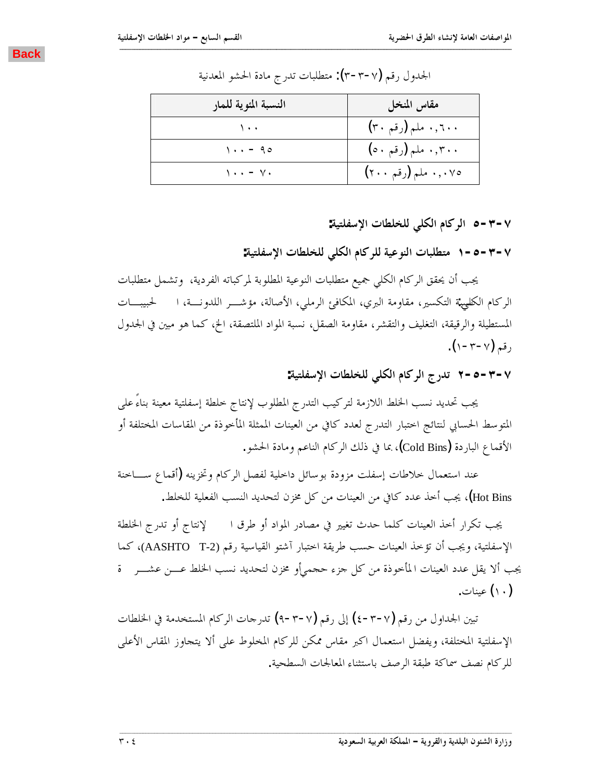<span id="page-23-0"></span>

| النسبة المئوية للمار                 | مقاس المنخل         |
|--------------------------------------|---------------------|
| $\lambda$ .                          | ۰٫٦۰۰ ملم (رقم ۳۰)  |
| $1 \cdot \cdot - 90$                 | ۰٫۳۰۰ ملم (رقم ۵۰)  |
| $\setminus \cdot \cdot - \vee \cdot$ | ۰٫۰۷٥ ملم (رقم ۲۰۰) |

الجدول رقم (٣-٣-٣): متطلبات تدرج مادة الحشو المعدنية

**:ƨȈƬǴǨLJȍơƩƢǘǴƼǴdzȆǴǰdzơǵƢǯǂdzơ Ò-Ð-Ô**

**:ƨȈƬǴǨLJȍơƩƢǘǴƼǴdzȆǴǰdzơǵƢǯǂǴdzƨȈǟȂǼdzơƩƢƦǴǘƬǷ Î-Ò-Ð-Ô**

يجب أن يحقق الركام الكلي جميع متطلبات النوعية المطلوبة لمركباته الفردية، وتشمل متطلبات الركام الكليهية التكسير، مقاومة البري، المكافئ الرملي، الأصالة، مؤشــر اللدونـــة، ا لحبيبـــات المستطيلة والرقيقة، التغليف والتقشر، مقاومة الصقل، نسبة المواد الملتصقة، الخ، كما هو مبين في الجدول .( $\vee$ – $\vee$ وقيم ( $\vee$ – $\vee$ )

**:ƨȈƬǴǨLJȍơƩƢǘǴƼǴdzȆǴǰdzơǵƢǯǂdzơƱǁƾƫ Ï-Ò-Ð-Ô**

يجب تحديد نسب الخلط اللازمة لتركيب التدرج المطلوب لإنتاج خلطة إسفلتية معينة بناءً على المتوسط الحسابي لنتائج احتبار التدرج لعدد كافي من العينات الممثلة المأخوذة من المقاسات المختلفة أو الأقماع الباردة (Cold Bins)، بما في ذلك الركام الناعم ومادة الحشو .

عند استعمال خلاطات إسفلت مزودة بوسائل داخلية لفصل الركام وتخزينه (أقماع ســـاخنة Hot Bins)، يجب أخذ عدد كافي من العينات من كل مخزن لتحديد النسب الفعلية للخلط.

يجب تكرار أحذ العينات كلما حدث تغيير في مصادر المواد أو طرق ا لإنتاج أو تدرج الخلطة الإسفلتية، ويجب أن تؤخذ العينات حسب طريقة اختبار آشتو القياسية رقم (AASHTO T-2)، كما يجب ألا يقل عدد العينات المأخوذة من كل جزء حجميأو مخزن لتحديد نسب الخلط عـــن عشـــر \_ ة (١٠) عينات.

تبين الجداول من رقم (٤-٣-٧) إلى رقم (٩-٣-٩) تدرجات الركام المستخدمة في الخلطات الإسفلتية المختلفة، ويفضل استعمال اكبر مقاس ممكن للركام المخلوط على ألا يتجاوز المقاس الأعلى للركام نصف سماكة طبقة الرصف باستثناء المعالجات السطحية.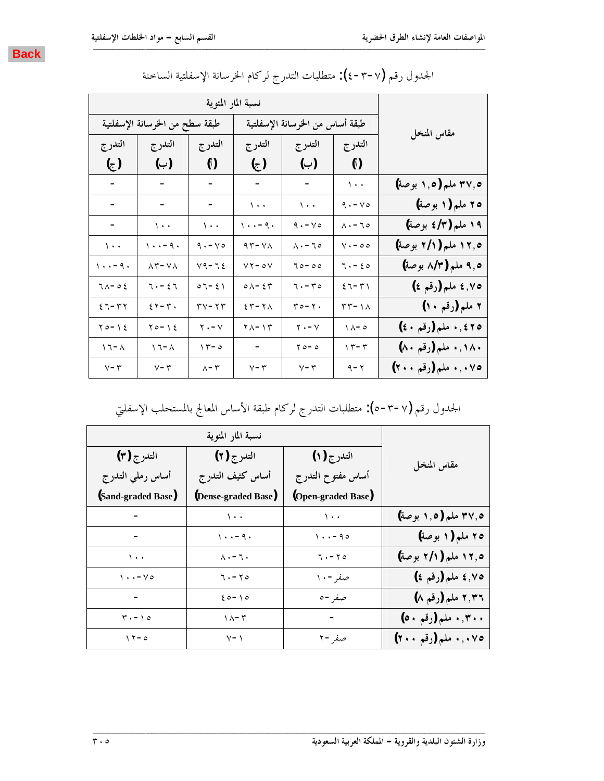

|                     |                                 | نسبة المار المئوية             |                                   |                                        |                                                             |                                   |
|---------------------|---------------------------------|--------------------------------|-----------------------------------|----------------------------------------|-------------------------------------------------------------|-----------------------------------|
| مقاس المنخل         | طبقة أساس من الخرسانة الإسفلتية |                                |                                   | طبقة سطح من الخرسانة الإسفلتية         |                                                             |                                   |
|                     | التدرج                          | التدر ج                        | التدرج                            | التدرج                                 | التدرج                                                      | التدرج                            |
|                     | $\left( \mathcal{L} \right)$    | (ب)                            | (උ)                               | $\binom{5}{1}$                         | (ب)                                                         | $\epsilon$                        |
| ۴۷٫۵ ملم (۱٫۵ بوصة) | $\mathcal{N}$ .                 |                                |                                   |                                        |                                                             |                                   |
| ۲۵ ملم (۱ بوصة)     | $9 \cdot -y \circ$              | $\langle \cdot \rangle$        | $\cdots$                          | $\sim$                                 |                                                             |                                   |
| ۱۹ ملم (٤/٣ بوصة)   | $\wedge \cdot - \wedge \circ$   | $9 \cdot -y \circ$             | $\setminus \cdot \cdot - 9 \cdot$ | $\mathcal{N}$ .                        | $\backslash\cdot\cdot$                                      | ۰.                                |
| ۰٫۵ ملم (۲/۱ بوصة)  | $V \cdot - 00$                  | $\Lambda$ . - 70               | $97 - Y$                          | $9 \cdot -y \circ$                     | ۱۰۰-۹۰                                                      | $\backslash$ .                    |
| ۹٫۵ ملم (۸/۳ بوصة)  | $7. - 50$                       | $70 - 00$                      | $YY - 0Y$                         | $Y9 - 72$                              | $\lambda$ ۳-V $\lambda$                                     | $\setminus \cdot \cdot - 9 \cdot$ |
| ٠٧٥ ه ملم (رقم ٤)   | $27 - T$                        | $7. - 70$                      | $\circ \wedge - \epsilon \tau$    | $\circ \tau - \epsilon \ \backslash$   | $\mathbf{u} \cdot \mathbf{v} = \mathbf{v} \cdot \mathbf{v}$ | $7 \wedge -05$                    |
| ۲ ملم (رقم ۱۰)      | $\tau\tau$ - $\lambda$          | $r \circ -\gamma$ .            | $25 - 7$                          | $\mathbf{y} - \mathbf{y} - \mathbf{y}$ | $25 - 13$                                                   | $27 - 57$                         |
| ٢٥، ١. ملم (رقم ٤٠) | $\Lambda - \circ$               | $\mathsf{y} \cdot -\mathsf{y}$ | $\gamma$ / $-\gamma$              | $\mathbf{Y} \bullet - \mathbf{Y}$      | $70 - 12$                                                   | $\gamma$ 0 – $\gamma$ 2           |
| ۰٬۱۸۰ ملم (رقم ۸۰)  | $\gamma - \tau$                 | $\gamma$ $\circ$ - $\circ$     | $\sim$ $-$                        | $\gamma - \circ$                       | ۸ - ۲ ۱                                                     | $\wedge$ $\sim$ $\wedge$          |
| ۰٫۰۷٥ ملم (رقم ۲۰۰) | $9 - 7$                         | $\vee$ – $\curlyvee$           | $\vee$ – $\uparrow$               | $\wedge$ – $\curlyvee$                 | $V - \tau$                                                  | $Y - \tau$                        |

الجدول رقم (٤-٣-٤): متطلبات التدرج لركام الخرسانة الإسفلتية الساحنة

الجدول رقم (٥-٣-٥): متطلبات التدرج لركام طبقة الأساس المعالج بالمستحلب الإسفلتي

|                     | نسبة المار المئوية   |                                   |                                       |  |  |
|---------------------|----------------------|-----------------------------------|---------------------------------------|--|--|
| مقاس المنخل         | التدرج (۱)           | التدرج (۲)                        | التدرج (۳)                            |  |  |
|                     | أساس مفتوح التدرج    | أساس كثيف التدرج                  | أساس رملي التدرج                      |  |  |
|                     | (Open-graded Base)   | (Dense-graded Base)               | (Sand-graded Base)                    |  |  |
| ۴۷٫۵ ملم (۱٫۵ بوصة) | $\Delta$ .           | $\lambda$ .                       |                                       |  |  |
| ٢٥ ملم (١ بوصة)     | $1 \cdot \cdot - 90$ | $\setminus \cdot \cdot - 9 \cdot$ |                                       |  |  |
| ١٢,٥ ملم (٢/١ بوصة) | $7. - 70$            | $\lambda$ . $-\tau$ .             | $\sqrt{1 + 4}$                        |  |  |
| ٤,٧٥ ملم (رقم ٤)    | صفر - ۱۰             | $7. - 70$                         | $\langle \cdot \cdot - \vee \circ$    |  |  |
| ٢,٣٦ ملم (رقم ٨)    | صفر - ه              | $20 - 10$                         | $\sim$                                |  |  |
| ۰٫۳۰۰ ملم (رقم ٥٠)  | $\equiv$             | $1 - T$                           | $\mathbf{r} \cdot - \mathbf{1} \circ$ |  |  |
| ۰٫۰۷٥ ملم (رقم ۲۰۰) | صفر-۲                | $V - 1$                           | $\gamma$ $\gamma$ - $\circ$           |  |  |
|                     |                      |                                   |                                       |  |  |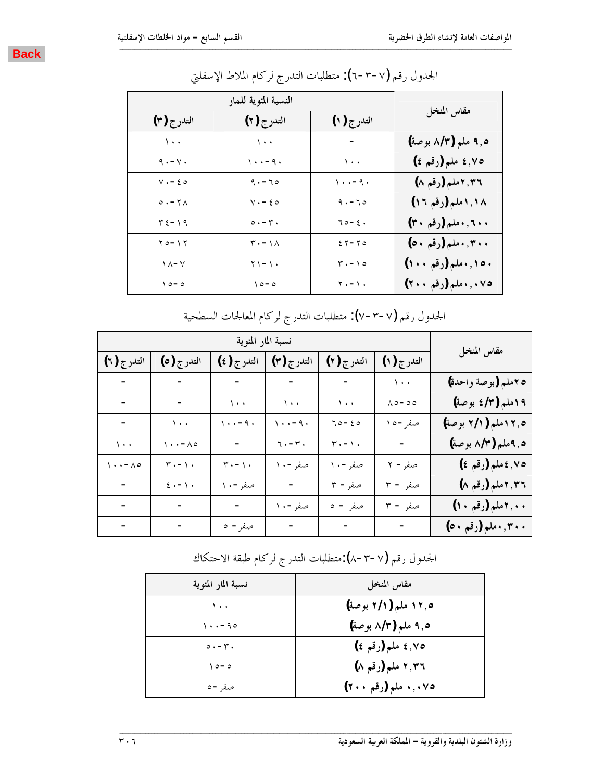

| النسبة المئوية للمار       |                                         |                                       |                      |  |
|----------------------------|-----------------------------------------|---------------------------------------|----------------------|--|
| التدرج (٣)                 | التدرج (۲)                              | التدرج (۱)                            | مقاس المنخل          |  |
| $\sqrt{1 + x}$             | $\sqrt{1 + 4}$                          | $\sim$                                | ۹٫۵ ملم (۸/۳ بوصة)   |  |
| $9. - Y.$                  | $\langle \cdot \cdot - q \cdot \rangle$ | $\lambda$ .                           | ٠٧٥ هلم (رقم ٤)      |  |
| $y - \xi$                  | $9. - 70$                               | $\cdots - q$ .                        | ٢,٣٦ ملم (رقم ٨)     |  |
| $0.7 - 7$                  | $V - 50$                                | $9. - 70$                             | ۱٫۱۸ملم (رقم ۱۲)     |  |
| $T \xi - \eta$             | $\circ \cdot - \cdot \cdot$             | $70 - 2.$                             | ۰٫۲۰٫۱ملم (رقم ۳۰)   |  |
| $Y$ $0 - Y$                | $\mathbf{r} \cdot - \mathbf{1} \wedge$  | $25 - 70$                             | ۰٫۳۰٫۳۰ ملم (رقم ۵۰) |  |
| $\wedge$ $\wedge$ - $\vee$ | $\gamma \setminus - \setminus \cdot$    | $\mathbf{r} \cdot - \mathbf{v} \cdot$ | ۱۰٫۱۰۰ملم (رقم ۱۰۰)  |  |
| $\theta$ - $\circ$         | $\setminus \circ - \circ$               | $\gamma$ . - $\gamma$ .               | ۰٫۰۷٥. ملم (رقم ۲۰۰) |  |

الجدول رقم (٦-٣-٦): متطلبات التدرج لركام الملاط الإسفلتي

الجدول رقم (٧–٣-٧): متطلبات التدرج لركام المعالجات السطحية

| نسبة المار المئوية    |                                     |                                   |                       |                                   | مقاس المنخل                  |                     |
|-----------------------|-------------------------------------|-----------------------------------|-----------------------|-----------------------------------|------------------------------|---------------------|
| التدرج (٦)            | التدرج (٥)                          | التدرج (٤)                        | التدرج (٣)            | التدرج (۲)                        | التدرج (۱)                   |                     |
| $\frac{1}{2}$ .       | $\sim$ $-$                          |                                   |                       | $\sim$ $-$                        | $\backslash$ .               | 10ملم (بوصة واحدة)  |
| $\sim$                |                                     | $\sqrt{1 + 4}$                    | $\setminus\cdot\cdot$ | $\backslash$ .<br>.               | $\wedge \circ - \circ \circ$ | ١٩ملم (٤/٣ بوصة)    |
| $\pm$ .               | $\bar{\mathcal{N}}$ .               | $\cdots - q$ .                    | $\cdots - q$ .        | $70 - 20$                         | صفر-۱۰                       | ۰٫۵ ۱ملم (۲/۱ بوصة) |
| $\bar{\mathcal{E}}$ . | $\wedge \cdot \cdot - \wedge \circ$ | $\sim$ $-$                        | $7 - 7$ .             | $\mathbf{r} \cdot - \mathbf{v}$ . | $\sim 10^{-10}$              | ٥, ٩ملم (٨/٣ بوصة)  |
| $\cdots - \lambda$    | $\mathbf{r} \cdot - \mathbf{v}$     | $\mathbf{r} \cdot - \mathbf{v}$ . | صفر - ۱۰              | صفر - ۱۰                          | صفر- ٢                       | ٠٧٥, ٤ملم (رقم ٤)   |
| $\sim$                | $\epsilon \cdot - \Delta$ .         | صفر-۱۰                            | $\sim$ $-$            | صفر- ۳                            | صفر - ۳                      | ٢,٣٦ ملم (رقم ٨)    |
| $\blacksquare$        | $\blacksquare$                      | $\sim 10^4$                       | صفر - ۱۰              | صفر - ه                           | صفر - ۳                      | ۰۰,۲ملم (رقم ۱۰)    |
| $\Delta \sim 10$      | $\sim 100$ m $^{-1}$                | صفر - ه                           | $\sim$ $-$            | $\sim$ $-$                        | $\sim 10^{-10}$              | ۰٫۳۰۰ملم (رقم ۵۰)   |

الجدول رقم (٨-٣-٧):متطلبات التدرج لركام طبقة الاحتكاك

| نسبة المار المئوية                            | مقاس المنخل         |
|-----------------------------------------------|---------------------|
| ۰.۱                                           | ۰٫۵ ملم (۲/۱ بوصة)  |
| $\langle \cdot \cdot - 9 \cdot \cdot \rangle$ | ۹٫۵ ملم (۸/۳ بوصة)  |
| $\circ \cdot - \cdot \cdot$                   | ٠٧٥ ه د (رقم ٤)     |
| $\theta$ - $\theta$                           | ۲٫۳٦ ملم (رقم ۸)    |
| صفر - ہ                                       | ۰٫۰۷٥ ملم (رقم ۲۰۰) |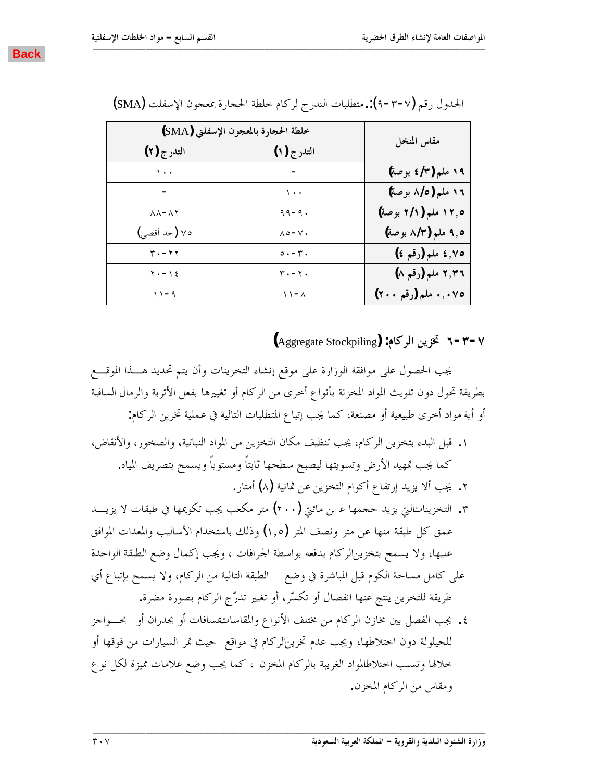| خلطة الحجارة بالمعجون الإسفلتي (SMA) |                             |                     |
|--------------------------------------|-----------------------------|---------------------|
| التدرج (۲)                           | التدرج (۱)                  | مقاس المنخل         |
| $\cdots$                             |                             | ۱۹ ملم (٤/٣ بوصة)   |
|                                      | ۰.۱                         | ١٦ ملم (٨/٥ بوصة)   |
| $\lambda \lambda - \lambda \lambda$  | $99 - 9.$                   | ١٢٫٥ ملم (٢/١ بوصة) |
| ٧٥ (حد أقصى)                         | $\wedge \circ -\vee \cdot$  | ۹٫۵ ملم (۸/۳ بوصة)  |
| $r - r r$                            | $\circ \cdot - \cdot \cdot$ | ٤,٧٥ ملم (رقم ٤)    |
| $\gamma$ . - $\gamma$ {              | $r - r$ .                   | ٢,٣٦ ملم (رقم ٨)    |
| $11 - 9$                             | $\wedge$ $\wedge$           | ۰٫۰۷٥ ملم (رقم ۲۰۰) |

الجدول رقم (٢-٣-٩): متطلبات التدرج لركام خلطة الحجارة بمعجون الإسفلت (SMA)

<span id="page-26-0"></span>**ººººººººººººººººººººººººººººººººººººººººººººººººººººººººººººººººººººººººººººººººººººººººººººººººººººººººººººººººººººººººººººººººººººººº**

**(**Aggregate Stockpiling**) :ǵƢǯǂdzơǺȇDŽţ Ó-Ð-Ô**

يجب الحصول على موافقة الوزارة على موقع إنشاء التخزينات وأن يتم تحديد هــــذا الموقــــع بطريقة تحول دون تلويث المواد المخزنة بأنواع أحرى من الركام أو تغييرها بفعل الأتربة والرمال السافية أو أية مواد أخرى طبيعية أو مصنعة، كما يجب إتباع المتطلبات التالية في عملية تخرين الركام:

- ۰. قبل البدء بتخزين الركام، يجب تنظيف مكان التخزين من المواد النباتية، والصخور، والأنقاض، كما يجب تمهيد الأرض وتسويتها ليصبح سطحها ثابتاً ومستوياً ويسمح بتصريف المياه. ٢. يجب ألا يزيد إرتفاع أكوام التخزين عن ثمانية (λ) أمتار. ۰٫ التخزيناتالتي يزيد حجمها عـ بن مائتي (٢٠٠) متر مكعب يجب تكويمها في طبقات لا يزيـــد عمق كل طبقة منها عن متر ونصف المتر (١,٥) وذلك باستخدام الأساليب والمعدات الموافق
- عليها، ولا يسمح بتخزينالركام بدفعه بواسطة الجرافات ، ويجب إكمال وضع الطبقة الواحدة على كامل مساحة الكوم قبل المباشرة في وضع ﴿ الطبقة التالية من الركام، ولا يسمح بإتباع أي طريقة للتخزين ينتج عنها انفصال أو تكسّر، أو تغيير تدرّج الركام بصورة مضرة.
- ٤. يجب الفصل بين مخازن الركام من مختلف الأنواع والمقاساتـقسافات أو بجدران أو بحـــواجز للحيلولة دون اختلاطها، ويجب عدم تخزين|لركام في مواقع حيث تمر السيارات من فوقها أو خلالها وتسبب احتلاطالمواد الغريبة بالركام المخزن ، كما يجب وضع علامات مميزة لكل نوع ومقاس من الركام المخزن.